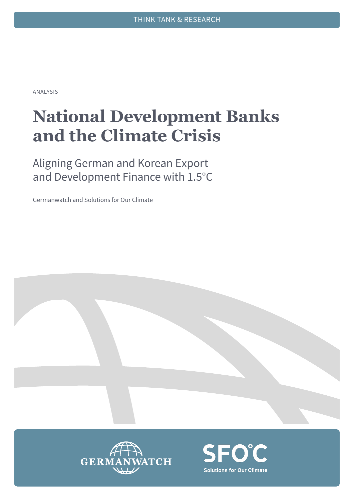ANALYSIS

# **National Development Banks and the Climate Crisis**

Aligning German and Korean Export and Development Finance with 1.5°C

Germanwatch and Solutions for Our Climate



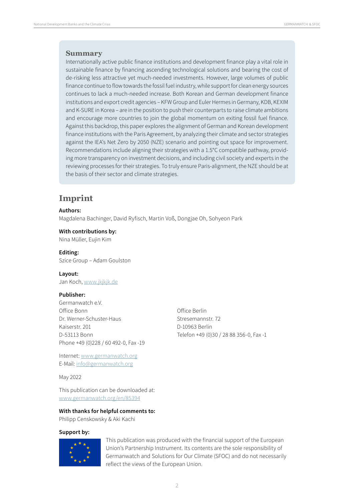#### **Summary**

Internationally active public finance institutions and development finance play a vital role in sustainable finance by financing ascending technological solutions and bearing the cost of de-risking less attractive yet much-needed investments. However, large volumes of public finance continue to flow towards the fossil fuel industry, while support for clean energy sources continues to lack a much-needed increase. Both Korean and German development finance institutions and export credit agencies – KFW Group and Euler Hermes in Germany, KDB, KEXIM and K-SURE in Korea – are in the position to push their counterparts to raise climate ambitions and encourage more countries to join the global momentum on exiting fossil fuel finance. Against this backdrop, this paper explores the alignment of German and Korean development finance institutions with the Paris Agreement, by analyzing their climate and sector strategies against the IEA's Net Zero by 2050 (NZE) scenario and pointing out space for improvement. Recommendations include aligning their strategies with a 1.5°C compatible pathway, providing more transparency on investment decisions, and including civil society and experts in the reviewing processes for their strategies. To truly ensure Paris-alignment, the NZE should be at the basis of their sector and climate strategies.

### **Imprint**

#### **Authors:**

Magdalena Bachinger, David Ryfisch, Martin Voß, Dongjae Oh, Sohyeon Park

**With contributions by:** 

Nina Müller, Eujin Kim

#### **Editing:**

Szice Group – Adam Goulston

#### **Layout:**

Jan Koch, [www.jkjkjk.de](https://www.jkjkjk.de)

#### **Publisher:**

Germanwatch e.V. Office Bonn Dr. Werner-Schuster-Haus Kaiserstr. 201 D-53113 Bonn Phone +49 (0)228 / 60 492-0, Fax -19

Internet: [www.germanwatch.org](http://www.germanwatch.org) E-Mail: [info@germanwatch.org](mailto:info@germanwatch.org)

May 2022

This publication can be downloaded at: [www.germanwatch.org/en/85394](http://www.germanwatch.org/en/85394)

#### **With thanks for helpful comments to:**

Philipp Censkowsky & Aki Kachi

#### **Support by:**



This publication was produced with the financial support of the European Union's Partnership Instrument. Its contents are the sole responsibility of Germanwatch and Solutions for Our Climate (SFOC) and do not necessarily reflect the views of the European Union.

 $\overline{\mathcal{L}}$ 

Office Berlin Stresemannstr. 72 D-10963 Berlin Telefon +49 (0)30 / 28 88 356-0, Fax -1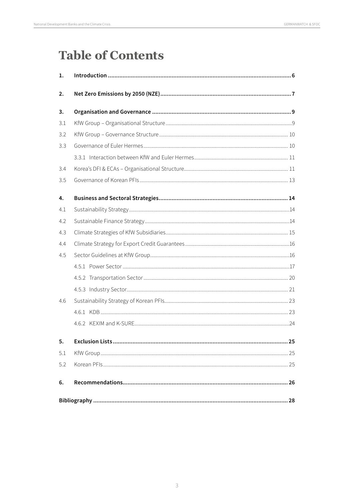# **Table of Contents**

| 1.  |  |  |  |  |  |  |  |
|-----|--|--|--|--|--|--|--|
| 2.  |  |  |  |  |  |  |  |
| 3.  |  |  |  |  |  |  |  |
| 3.1 |  |  |  |  |  |  |  |
| 3.2 |  |  |  |  |  |  |  |
| 3.3 |  |  |  |  |  |  |  |
|     |  |  |  |  |  |  |  |
| 3.4 |  |  |  |  |  |  |  |
| 3.5 |  |  |  |  |  |  |  |
| 4.  |  |  |  |  |  |  |  |
| 4.1 |  |  |  |  |  |  |  |
| 4.2 |  |  |  |  |  |  |  |
| 4.3 |  |  |  |  |  |  |  |
| 4.4 |  |  |  |  |  |  |  |
| 4.5 |  |  |  |  |  |  |  |
|     |  |  |  |  |  |  |  |
|     |  |  |  |  |  |  |  |
|     |  |  |  |  |  |  |  |
| 4.6 |  |  |  |  |  |  |  |
|     |  |  |  |  |  |  |  |
|     |  |  |  |  |  |  |  |
| 5.  |  |  |  |  |  |  |  |
| 5.1 |  |  |  |  |  |  |  |
| 5.2 |  |  |  |  |  |  |  |
| 6.  |  |  |  |  |  |  |  |
|     |  |  |  |  |  |  |  |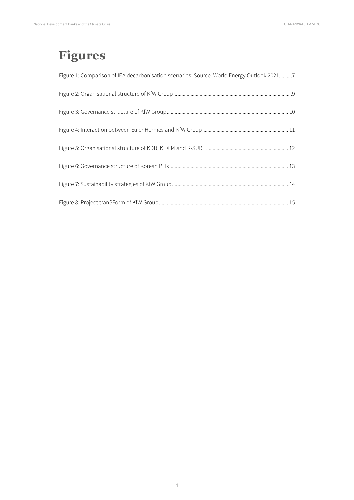# **Figures**

| Figure 1: Comparison of IEA decarbonisation scenarios; Source: World Energy Outlook 20217 |
|-------------------------------------------------------------------------------------------|
|                                                                                           |
|                                                                                           |
|                                                                                           |
|                                                                                           |
|                                                                                           |
|                                                                                           |
|                                                                                           |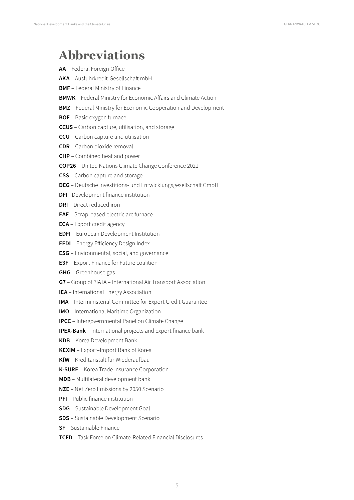# **Abbreviations**

| AA - Federal Foreign Office                                            |
|------------------------------------------------------------------------|
| AKA - Ausfuhrkredit-Gesellschaft mbH                                   |
| <b>BMF</b> - Federal Ministry of Finance                               |
| <b>BMWK</b> - Federal Ministry for Economic Affairs and Climate Action |
| <b>BMZ</b> - Federal Ministry for Economic Cooperation and Development |
| <b>BOF</b> - Basic oxygen furnace                                      |
| <b>CCUS</b> - Carbon capture, utilisation, and storage                 |
| <b>CCU</b> - Carbon capture and utilisation                            |
| <b>CDR</b> - Carbon dioxide removal                                    |
| <b>CHP</b> - Combined heat and power                                   |
| COP26 - United Nations Climate Change Conference 2021                  |
| CSS - Carbon capture and storage                                       |
| DEG - Deutsche Investitions- und Entwicklungsgesellschaft GmbH         |
| <b>DFI</b> - Development finance institution                           |
| <b>DRI</b> - Direct reduced iron                                       |
| EAF - Scrap-based electric arc furnace                                 |
| <b>ECA</b> - Export credit agency                                      |
| <b>EDFI</b> - European Development Institution                         |
| <b>EEDI</b> - Energy Efficiency Design Index                           |
| <b>ESG</b> - Environmental, social, and governance                     |
| <b>E3F</b> - Export Finance for Future coalition                       |
| <b>GHG</b> - Greenhouse gas                                            |
| G7 - Group of 7IATA - International Air Transport Association          |
| IEA - International Energy Association                                 |
| IMA - Interministerial Committee for Export Credit Guarantee           |
| IMO - International Maritime Organization                              |
| <b>IPCC</b> - Intergovernmental Panel on Climate Change                |
| <b>IPEX-Bank</b> - International projects and export finance bank      |
| KDB - Korea Development Bank                                           |
| KEXIM - Export-Import Bank of Korea                                    |
| KfW - Kreditanstalt für Wiederaufbau                                   |
| K-SURE - Korea Trade Insurance Corporation                             |
| MDB - Multilateral development bank                                    |
| NZE - Net Zero Emissions by 2050 Scenario                              |
| PFI - Public finance institution                                       |
| <b>SDG</b> - Sustainable Development Goal                              |
| <b>SDS</b> - Sustainable Development Scenario                          |
| SF - Sustainable Finance                                               |
| <b>TCFD</b> - Task Force on Climate-Related Financial Disclosures      |
|                                                                        |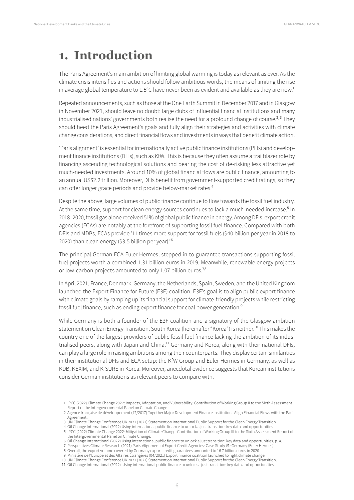# <span id="page-5-0"></span>**1. Introduction**

The Paris Agreement's main ambition of limiting global warming is today as relevant as ever. As the climate crisis intensifies and actions should follow ambitious words, the means of limiting the rise in average global temperature to 1.5°C have never been as evident and available as they are now.<sup>1</sup>

Repeated announcements, such as those at the One Earth Summit in December 2017 and in Glasgow in November 2021, should leave no doubt: large clubs of influential financial institutions and many industrialised nations' governments both realise the need for a profound change of course.<sup>2, 3</sup> They should heed the Paris Agreement's goals and fully align their strategies and activities with climate change considerations, and direct financial flows and investments in ways that benefit climate action.

'Paris alignment' is essential for internationally active public finance institutions (PFIs) and development finance institutions (DFIs), such as KfW. This is because they often assume a trailblazer role by financing ascending technological solutions and bearing the cost of de-risking less attractive yet much-needed investments. Around 10% of global financial flows are public finance, amounting to an annual US\$2.2 trillion. Moreover, DFIs benefit from government-supported credit ratings, so they can offer longer grace periods and provide below-market rates.<sup>4</sup>

Despite the above, large volumes of public finance continue to flow towards the fossil fuel industry. At the same time, support for clean energy sources continues to lack a much-needed increase.<sup>5</sup> In 2018–2020, fossil gas alone received 51% of global public finance in energy. Among DFIs, export credit agencies (ECAs) are notably at the forefront of supporting fossil fuel finance. Compared with both DFIs and MDBs, ECAs provide '11 times more support for fossil fuels (\$40 billion per year in 2018 to 2020) than clean energy (\$3.5 billion per year).'6

The principal German ECA Euler Hermes, stepped in to guarantee transactions supporting fossil fuel projects worth a combined 1.31 billion euros in 2019. Meanwhile, renewable energy projects or low-carbon projects amounted to only 1.07 billion euros.<sup>7,8</sup>

In April 2021, France, Denmark, Germany, the Netherlands, Spain, Sweden, and the United Kingdom launched the Export Finance for Future (E3F) coalition. E3F's goal is to align public export finance with climate goals by ramping up its financial support for climate-friendly projects while restricting fossil fuel finance, such as ending export finance for coal power generation.<sup>9</sup>

While Germany is both a founder of the E3F coalition and a signatory of the Glasgow ambition statement on Clean Energy Transition, South Korea (hereinafter "Korea") is neither.<sup>10</sup> This makes the country one of the largest providers of public fossil fuel finance lacking the ambition of its industrialised peers, along with Japan and China.<sup>11</sup> Germany and Korea, along with their national DFIs, can play a large role in raising ambitions among their counterparts. They display certain similarities in their institutional DFIs and ECA setup: the KfW Group and Euler Hermes in Germany, as well as KDB, KEXIM, and K-SURE in Korea. Moreover, anecdotal evidence suggests that Korean institutions consider German institutions as relevant peers to compare with.

<sup>1</sup> IPCC (2022) Climate Change 2022: Impacts, Adaptation, and Vulnerability. Contribution of Working Group II to the Sixth Assessment Report of the Intergovernmental Panel on Climate Change.

<sup>2</sup> Agence française de développement (12/2017) Together Major Development Finance Institutions Align Financial Flows with the Paris Agreement.

<sup>3</sup> UN Climate Change Conference UK 2021 (2021) Statement on International Public Support for the Clean Energy Transition

<sup>4</sup> Oil Change International (2022) Using international public finance to unlock a just transition: key data and opportunities. 5 IPCC (2022) Climate Change 2022: Mitigation of Climate Change. Contribution of Working Group III to the Sixth Assessment Report of the Intergovernmental Panel on Climate Change.

<sup>6</sup> Oil Change International (2022) Using international public finance to unlock a just transition: key data and opportunities, p. 4.

<sup>7</sup> Perspectives Climate Research (2021) Paris Alignment of Export Credit Agencies: Case Study #1: Germany (Euler Hermes).

<sup>8</sup> Overall, the export volume covered by Germany export credit guarantees amounted to 16.7 billion euros in 2020.

<sup>9</sup> Ministère de l'Europe et des Affaires Étrangères (04/2021) Export finance coalition launched to fight climate change. 10 UN Climate Change Conference UK 2021 (2021) Statement on International Public Support for the Clean Energy Transition.

<sup>11</sup> Oil Change International (2022). Using international public finance to unlock a just transition: key data and opportunities.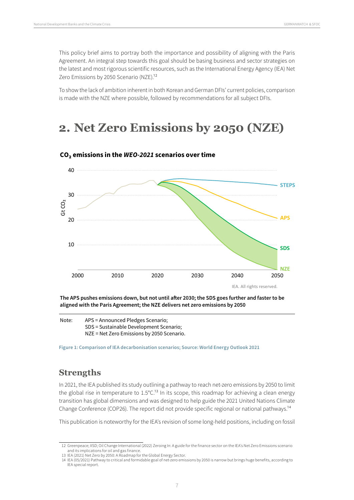<span id="page-6-0"></span>This policy brief aims to portray both the importance and possibility of aligning with the Paris Agreement. An integral step towards this goal should be basing business and sector strategies on the latest and most rigorous scientific resources, such as the International Energy Agency (IEA) Net Zero Emissions by 2050 Scenario (NZE).<sup>12</sup>

To show the lack of ambition inherent in both Korean and German DFIs' current policies, comparison is made with the NZE where possible, followed by recommendations for all subject DFIs.

# **2. Net Zero Emissions by 2050 (NZE)**



#### **CO2 emissions in the WEO-2021 scenarios over time**

**The APS pushes emissions down, but not until a er 2030; the SDS goes further and faster to be aligned with the Paris Agreement; the NZE delivers net zero emissions by 2050**

Note: APS = Announced Pledges Scenario; SDS = Sustainable Development Scenario; NZE = Net Zero Emissions by 2050 Scenario.

**Figure 1: Comparison of IEA decarbonisation scenarios; Source: World Energy Outlook 2021**

### **Strengths**

In 2021, the IEA published its study outlining a pathway to reach net-zero emissions by 2050 to limit the global rise in temperature to  $1.5^{\circ}$ C.<sup>13</sup> In its scope, this roadmap for achieving a clean energy transition has global dimensions and was designed to help guide the 2021 United Nations Climate Change Conference (COP26). The report did not provide specific regional or national pathways.14

This publication is noteworthy for the IEA's revision of some long-held positions, including on fossil

<sup>12</sup> Greenpeace; IISD; Oil Change International (2022) Zeroing In: A guide for the finance sector on the IEA's Net Zero Emissions scenario and its implications for oil and gas finance.

<sup>13</sup> IEA (2021) Net Zero by 2050: A Roadmap for the Global Energy Sector.

<sup>14</sup> IEA (05/2021) Pathway to critical and formidable goal of net-zero emissions by 2050 is narrow but brings huge benefits, according to IEA special report.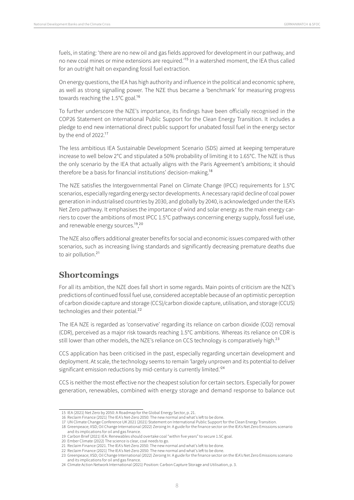fuels, in stating: 'there are no new oil and gas fields approved for development in our pathway, and no new coal mines or mine extensions are required.'15 In a watershed moment, the IEA thus called for an outright halt on expanding fossil fuel extraction.

On energy questions, the IEA has high authority and influence in the political and economic sphere, as well as strong signalling power. The NZE thus became a 'benchmark' for measuring progress towards reaching the 1.5°C goal.<sup>16</sup>

To further underscore the NZE's importance, its findings have been officially recognised in the COP26 Statement on International Public Support for the Clean Energy Transition. It includes a pledge to end new international direct public support for unabated fossil fuel in the energy sector by the end of 2022.<sup>17</sup>

The less ambitious IEA Sustainable Development Scenario (SDS) aimed at keeping temperature increase to well below 2°C and stipulated a 50% probability of limiting it to 1.65°C. The NZE is thus the only scenario by the IEA that actually aligns with the Paris Agreement's ambitions; it should therefore be a basis for financial institutions' decision-making.<sup>18</sup>

The NZE satisfies the Intergovernmental Panel on Climate Change (IPCC) requirements for 1.5°C scenarios, especially regarding energy sector developments. A necessary rapid decline of coal power generation in industrialised countries by 2030, and globally by 2040, is acknowledged under the IEA's Net Zero pathway. It emphasises the importance of wind and solar energy as the main energy carriers to cover the ambitions of most IPCC 1.5°C pathways concerning energy supply, fossil fuel use, and renewable energy sources.<sup>19,20</sup>

The NZE also offers additional greater benefits for social and economic issues compared with other scenarios, such as increasing living standards and significantly decreasing premature deaths due to air pollution.<sup>21</sup>

### **Shortcomings**

For all its ambition, the NZE does fall short in some regards. Main points of criticism are the NZE's predictions of continued fossil fuel use, considered acceptable because of an optimistic perception of carbon dioxide capture and storage (CCS)/carbon dioxide capture, utilisation, and storage (CCUS) technologies and their potential.<sup>22</sup>

The IEA NZE is regarded as 'conservative' regarding its reliance on carbon dioxide (CO2) removal (CDR), perceived as a major risk towards reaching 1.5°C ambitions. Whereas its reliance on CDR is still lower than other models, the NZE's reliance on CCS technology is comparatively high.<sup>23</sup>

CCS application has been criticised in the past, especially regarding uncertain development and deployment. At scale, the technology seems to remain 'largely unproven and its potential to deliver significant emission reductions by mid-century is currently limited.<sup>'24</sup>

CCS is neither the most effective nor the cheapest solution for certain sectors. Especially for power generation, renewables, combined with energy storage and demand response to balance out

<sup>15</sup> IEA (2021) Net Zero by 2050: A Roadmap for the Global Energy Sector, p. 21.

<sup>16</sup> Reclaim Finance (2021) The IEA's Net-Zero 2050: The new normal and what's left to be done.

<sup>17</sup> UN Climate Change Conference UK 2021 (2021) Statement on International Public Support for the Clean Energy Transition.

<sup>18</sup> Greenpeace; IISD; Oil Change International (2022) Zeroing In: A guide for the finance sector on the IEA's Net Zero Emissions scenario and its implications for oil and gas finance.

<sup>19</sup> Carbon Brief (2021) IEA: Renewables should overtake coal "within five years" to secure 1.5C goal.

<sup>20</sup> Ember Climate (2022) The science is clear, coal needs to go.

<sup>21</sup> Reclaim Finance (2021. The IEA's Net-Zero 2050: The new normal and what's left to be done.

<sup>22</sup> Reclaim Finance (2021) The IEA's Net-Zero 2050: The new normal and what's left to be done.

<sup>23</sup> Greenpeace; IISD; Oil Change International (2022) Zeroing In: A guide for the finance sector on the IEA's Net Zero Emissions scenario and its implications for oil and gas finance.

<sup>24</sup> Climate Action Network International (2021) Position: Carbon Capture Storage and Utilisation, p. 3.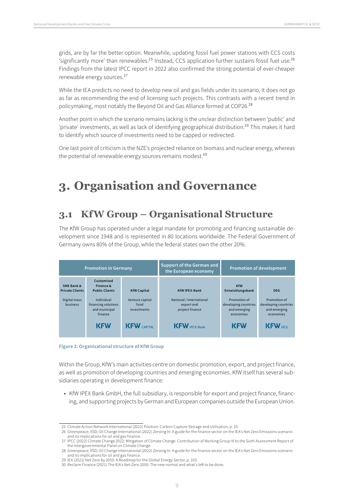<span id="page-8-0"></span>grids, are by far the better option. Meanwhile, updating fossil fuel power stations with CCS costs 'significantly more' than renewables.<sup>25</sup> Instead, CCS application further sustains fossil fuel use.<sup>26</sup> Findings from the latest IPCC report in 2022 also confirmed the strong potential of ever-cheaper renewable energy sources.27

While the IEA predicts no need to develop new oil and gas fields under its scenario, it does not go as far as recommending the end of licensing such projects. This contrasts with a recent trend in policymaking, most notably the Beyond Oil and Gas Alliance formed at COP26.<sup>28</sup>

Another point in which the scenario remains lacking is the unclear distinction between 'public' and 'private' investments, as well as lack of identifying geographical distribution.<sup>29</sup> This makes it hard to identify which source of investments need to be capped or redirected.

One last point of criticism is the NZE's projected reliance on biomass and nuclear energy, whereas the potential of renewable energy sources remains modest.<sup>30</sup>

# **3. Organisation and Governance**

# **3.1 KfW Group – Organisational Structure**

The KfW Group has operated under a legal mandate for promoting and financing sustainable development since 1948 and is represented in 80 locations worldwide. The Federal Government of Germany owns 80% of the Group, while the federal states own the other 20%.

| <b>Promotion in Germany</b>          |                                                               |                                        | <b>Support of the German and</b><br>the European economy  | <b>Promotion of development</b>                                   |                                                                   |
|--------------------------------------|---------------------------------------------------------------|----------------------------------------|-----------------------------------------------------------|-------------------------------------------------------------------|-------------------------------------------------------------------|
| SME Bank &<br><b>Private Clients</b> | Customised<br>Finance &<br><b>Public Clients</b>              | <b>KfW Capital</b>                     | <b>KfW IPEX-Bank</b>                                      | <b>KfW</b><br>Entwicklungsbank                                    | <b>DEG</b>                                                        |
| Digital mass<br><b>business</b>      | Individual<br>financing solutions<br>and municipal<br>finance | Venture capital<br>fund<br>investments | National / International<br>export and<br>project finance | Promotion of<br>developing countries<br>and emerging<br>economies | Promotion of<br>developing countries<br>and emerging<br>economies |
|                                      | <b>KFW</b>                                                    | <b>KFW</b> CAPITAL                     | <b>KFW</b> IPEX-Bank                                      | <b>KFW</b>                                                        | KFW <sub>DEG</sub>                                                |

**Figure 2: Organisational structure of KfW Group**

Within the Group, KfW's main activities centre on domestic promotion, export, and project finance, as well as promotion of developing countries and emerging economies. KfW itself has several subsidiaries operating in development finance:

• KfW IPEX Bank GmbH, the full subsidiary, is responsible for export and project finance, financing, and supporting projects by German and European companies outside the European Union.

<sup>25</sup> Climate Action Network International (2021) Position: Carbon Capture Storage and Utilisation, p. 10.

<sup>26</sup> Greenpeace; IISD; Oil Change International (2022) Zeroing In: A guide for the finance sector on the IEA's Net Zero Emissions scenario and its implications for oil and gas finance.

<sup>27</sup> IPCC (2022) Climate Change 2022: Mitigation of Climate Change. Contribution of Working Group III to the Sixth Assessment Report of the Intergovernmental Panel on Climate Change.

<sup>28</sup> Greenpeace; IISD; Oil Change International (2022) Zeroing In: A guide for the finance sector on the IEA's Net Zero Emissions scenario and its implications for oil and gas finance.

<sup>29</sup> IEA (2021) Net Zero by 2050: A Roadmap for the Global Energy Sector, p. 103.

<sup>30</sup> Reclaim Finance (2021) The IEA's Net-Zero 2050: The new normal and what's left to be done.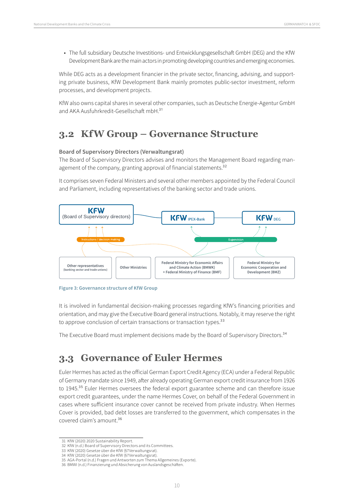<span id="page-9-0"></span>• The full subsidiary Deutsche Investitions- und Entwicklungsgesellschaft GmbH (DEG) and the KfW Development Bank are the main actors in promoting developing countries and emerging economies.

While DEG acts as a development financier in the private sector, financing, advising, and supporting private business, KfW Development Bank mainly promotes public-sector investment, reform processes, and development projects.

KfW also owns capital shares in several other companies, such as Deutsche Energie-Agentur GmbH and AKA Ausfuhrkredit-Gesellschaft mbH.31

## **3.2 KfW Group – Governance Structure**

#### **Board of Supervisory Directors (Verwaltungsrat)**

The Board of Supervisory Directors advises and monitors the Management Board regarding management of the company, granting approval of financial statements.<sup>32</sup>

It comprises seven Federal Ministers and several other members appointed by the Federal Council and Parliament, including representatives of the banking sector and trade unions.





It is involved in fundamental decision-making processes regarding KfW's financing priorities and orientation, and may give the Executive Board general instructions. Notably, it may reserve the right to approve conclusion of certain transactions or transaction types.<sup>33</sup>

The Executive Board must implement decisions made by the Board of Supervisory Directors.34

## **3.3 Governance of Euler Hermes**

Euler Hermes has acted as the official German Export Credit Agency (ECA) under a Federal Republic of Germany mandate since 1949, after already operating German export credit insurance from 1926 to 1945.<sup>35</sup> Euler Hermes oversees the federal export guarantee scheme and can therefore issue export credit guarantees, under the name Hermes Cover, on behalf of the Federal Government in cases where sufficient insurance cover cannot be received from private industry. When Hermes Cover is provided, bad debt losses are transferred to the government, which compensates in the covered claim's amount.36

<sup>31</sup> KfW (2020) 2020 Sustainability Report.

<sup>32</sup> KfW (n.d.) Board of Supervisory Directors and its Committees.

<sup>33</sup> KfW (2020) Gesetze über die KfW (§7Verwaltungsrat).

<sup>34</sup> KfW (2020) Gesetze über die KfW (§7Verwaltungsrat).

<sup>35</sup> AGA-Portal (n.d.) Fragen und Antworten zum Thema Allgemeines (Exporte).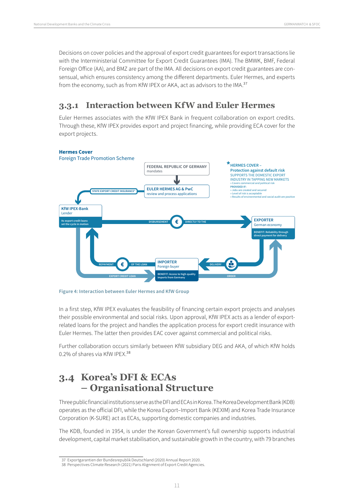<span id="page-10-0"></span>Decisions on cover policies and the approval of export credit guarantees for export transactions lie with the Interministerial Committee for Export Credit Guarantees (IMA). The BMWK, BMF, Federal Foreign Office (AA), and BMZ are part of the IMA. All decisions on export credit guarantees are consensual, which ensures consistency among the different departments. Euler Hermes, and experts from the economy, such as from KfW IPEX or AKA, act as advisors to the IMA.<sup>37</sup>

## **3.3.1 Interaction between KfW and Euler Hermes**

Euler Hermes associates with the KfW IPEX Bank in frequent collaboration on export credits. Through these, KfW IPEX provides export and project financing, while providing ECA cover for the export projects.



**Figure 4: Interaction between Euler Hermes and KfW Group**

In a first step, KfW IPEX evaluates the feasibility of financing certain export projects and analyses their possible environmental and social risks. Upon approval, KfW IPEX acts as a lender of exportrelated loans for the project and handles the application process for export credit insurance with Euler Hermes. The latter then provides EAC cover against commercial and political risks.

Further collaboration occurs similarly between KfW subsidiary DEG and AKA, of which KfW holds 0.2% of shares via KfW IPEX.38

# **3.4 Korea's DFI & ECAs – Organisational Structure**

Three public financial institutions serve as the DFI and ECAs in Korea. The Korea Development Bank (KDB) operates as the official DFI, while the Korea Export–Import Bank (KEXIM) and Korea Trade Insurance Corporation (K-SURE) act as ECAs, supporting domestic companies and industries.

The KDB, founded in 1954, is under the Korean Government's full ownership supports industrial development, capital market stabilisation, and sustainable growth in the country, with 79 branches

<sup>37</sup> Exportgarantien der Bundesrepublik Deutschland (2020) Annual Report 2020.

<sup>38</sup> Perspectives Climate Research (2021) Paris Alignment of Export Credit Agencies.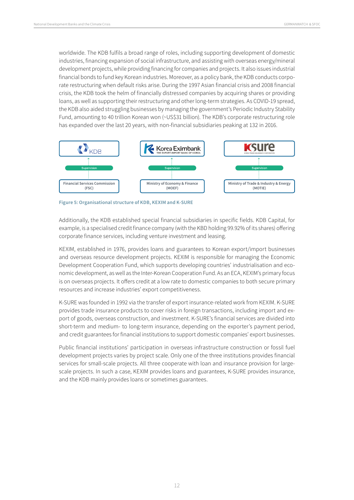<span id="page-11-0"></span>worldwide. The KDB fulfils a broad range of roles, including supporting development of domestic industries, financing expansion of social infrastructure, and assisting with overseas energy/mineral development projects, while providing financing for companies and projects. It also issues industrial financial bonds to fund key Korean industries. Moreover, as a policy bank, the KDB conducts corporate restructuring when default risks arise. During the 1997 Asian financial crisis and 2008 financial crisis, the KDB took the helm of financially distressed companies by acquiring shares or providing loans, as well as supporting their restructuring and other long-term strategies. As COVID-19 spread, the KDB also aided struggling businesses by managing the government's Periodic Industry Stability Fund, amounting to 40 trillion Korean won (~US\$31 billion). The KDB's corporate restructuring role has expanded over the last 20 years, with non-financial subsidiaries peaking at 132 in 2016.



**Figure 5: Organisational structure of KDB, KEXIM and K-SURE**

Additionally, the KDB established special financial subsidiaries in specific fields. KDB Capital, for example, is a specialised credit finance company (with the KBD holding 99.92% of its shares) offering corporate finance services, including venture investment and leasing.

KEXIM, established in 1976, provides loans and guarantees to Korean export/import businesses and overseas resource development projects. KEXIM is responsible for managing the Economic Development Cooperation Fund, which supports developing countries' industrialisation and economic development, as well as the Inter-Korean Cooperation Fund. As an ECA, KEXIM's primary focus is on overseas projects. It offers credit at a low rate to domestic companies to both secure primary resources and increase industries' export competitiveness.

K-SURE was founded in 1992 via the transfer of export insurance-related work from KEXIM. K-SURE provides trade insurance products to cover risks in foreign transactions, including import and export of goods, overseas construction, and investment. K-SURE's financial services are divided into short-term and medium- to long-term insurance, depending on the exporter's payment period, and credit guarantees for financial institutions to support domestic companies' export businesses.

Public financial institutions' participation in overseas infrastructure construction or fossil fuel development projects varies by project scale. Only one of the three institutions provides financial services for small-scale projects. All three cooperate with loan and insurance provision for largescale projects. In such a case, KEXIM provides loans and guarantees, K-SURE provides insurance, and the KDB mainly provides loans or sometimes guarantees.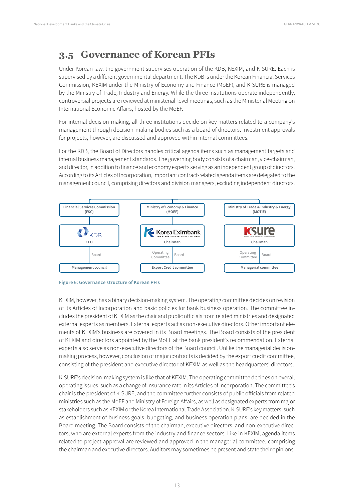## <span id="page-12-0"></span>**3.5 Governance of Korean PFIs**

Under Korean law, the government supervises operation of the KDB, KEXIM, and K-SURE. Each is supervised by a different governmental department. The KDB is under the Korean Financial Services Commission, KEXIM under the Ministry of Economy and Finance (MoEF), and K-SURE is managed by the Ministry of Trade, Industry and Energy. While the three institutions operate independently, controversial projects are reviewed at ministerial-level meetings, such as the Ministerial Meeting on International Economic Affairs, hosted by the MoEF.

For internal decision-making, all three institutions decide on key matters related to a company's management through decision-making bodies such as a board of directors. Investment approvals for projects, however, are discussed and approved within internal committees.

For the KDB, the Board of Directors handles critical agenda items such as management targets and internal business management standards. The governing body consists of a chairman, vice-chairman, and director, in addition to finance and economy experts serving as an independent group of directors. According to its Articles of Incorporation, important contract-related agenda items are delegated to the management council, comprising directors and division managers, excluding independent directors.





KEXIM, however, has a binary decision-making system. The operating committee decides on revision of its Articles of Incorporation and basic policies for bank business operation. The committee includes the president of KEXIM as the chair and public officials from related ministries and designated external experts as members. External experts act as non-executive directors. Other important elements of KEXIM's business are covered in its Board meetings. The Board consists of the president of KEXIM and directors appointed by the MoEF at the bank president's recommendation. External experts also serve as non-executive directors of the Board council. Unlike the managerial decisionmaking process, however, conclusion of major contracts is decided by the export credit committee, consisting of the president and executive director of KEXIM as well as the headquarters' directors.

K-SURE's decision-making system is like that of KEXIM. The operating committee decides on overall operating issues, such as a change of insurance rate in its Articles of Incorporation. The committee's chair is the president of K-SURE, and the committee further consists of public officials from related ministries such as the MoEF and Ministry of Foreign Affairs, as well as designated experts from major stakeholders such as KEXIM or the Korea International Trade Association. K-SURE's key matters, such as establishment of business goals, budgeting, and business operation plans, are decided in the Board meeting. The Board consists of the chairman, executive directors, and non-executive directors, who are external experts from the industry and finance sectors. Like in KEXIM, agenda items related to project approval are reviewed and approved in the managerial committee, comprising the chairman and executive directors. Auditors may sometimes be present and state their opinions.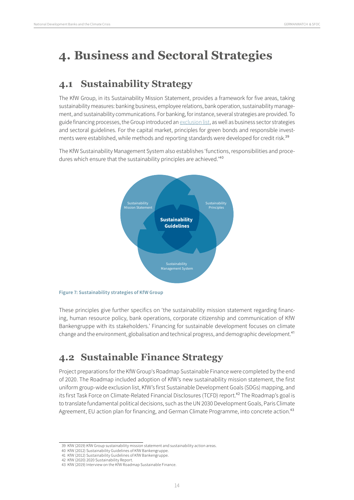# <span id="page-13-0"></span>**4. Business and Sectoral Strategies**

# **4.1 Sustainability Strategy**

The KfW Group, in its Sustainability Mission Statement, provides a framework for five areas, taking sustainability measures: banking business, employee relations, bank operation, sustainability management, and sustainability communications. For banking, for instance, several strategies are provided. To guide financing processes, the Group introduced an [exclusion list,](#page-24-1) as well as business sector strategies and sectoral guidelines. For the capital market, principles for green bonds and responsible investments were established, while methods and reporting standards were developed for credit risk.<sup>39</sup>

The KfW Sustainability Management System also establishes 'functions, responsibilities and procedures which ensure that the sustainability principles are achieved.<sup>'40</sup>





These principles give further specifics on 'the sustainability mission statement regarding financing, human resource policy, bank operations, corporate citizenship and communication of KfW Bankengruppe with its stakeholders.' Financing for sustainable development focuses on climate change and the environment, globalisation and technical progress, and demographic development.<sup>41</sup>

# **4.2 Sustainable Finance Strategy**

Project preparations for the KfW Group's Roadmap Sustainable Finance were completed by the end of 2020. The Roadmap included adoption of KfW's new sustainability mission statement, the first uniform group-wide exclusion list, KfW's first Sustainable Development Goals (SDGs) mapping, and its first Task Force on Climate-Related Financial Disclosures (TCFD) report.<sup>42</sup> The Roadmap's goal is to translate fundamental political decisions, such as the UN 2030 Development Goals, Paris Climate Agreement, EU action plan for financing, and German Climate Programme, into concrete action.<sup>43</sup>

<sup>39</sup> KfW (2019) KfW Group sustainability mission statement and sustainability action areas.

<sup>40</sup> KfW (2012) Sustainability Guidelines of KfW Bankengruppe.

<sup>41</sup> KfW (2012) Sustainability Guidelines of KfW Bankengruppe. 42 KfW (2020) 2020 Sustainability Report.

<sup>43</sup> KfW (2019) Interview on the KfW Roadmap Sustainable Finance.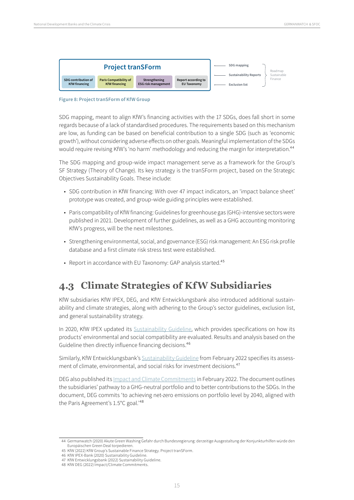<span id="page-14-0"></span>

**Figure 8: Project tranSForm of KfW Group**

SDG mapping, meant to align KfW's financing activities with the 17 SDGs, does fall short in some regards because of a lack of standardised procedures. The requirements based on this mechanism are low, as funding can be based on beneficial contribution to a single SDG (such as 'economic growth'), without considering adverse effects on other goals. Meaningful implementation of the SDGs would require revising KfW's 'no harm' methodology and reducing the margin for interpretation.<sup>44</sup>

The SDG mapping and group-wide impact management serve as a framework for the Group's SF Strategy (Theory of Change). Its key strategy is the tranSForm project, based on the Strategic Objectives Sustainability Goals. These include:

- SDG contribution in KfW financing: With over 47 impact indicators, an 'impact balance sheet' prototype was created, and group-wide guiding principles were established.
- Paris compatibility of KfW financing: Guidelines for greenhouse gas (GHG)-intensive sectors were published in 2021. Development of further guidelines, as well as a GHG accounting monitoring KfW's progress, will be the next milestones.
- Strengthening environmental, social, and governance (ESG) risk management: An ESG risk profile database and a first climate risk stress test were established.
- Report in accordance with EU Taxonomy: GAP analysis started.<sup>45</sup>

## **4.3 Climate Strategies of KfW Subsidiaries**

KfW subsidiaries KfW IPEX, DEG, and KfW Entwicklungsbank also introduced additional sustainability and climate strategies, along with adhering to the Group's sector guidelines, exclusion list, and general sustainability strategy.

In 2020, KfW IPEX updated its [Sustainability Guideline,](https://www.kfw-ipex-bank.de/pdf/About-KfW-IPEX-Bank/Social-responsibility/Environmental-and-social-sustainability/2020_10-Nachhaltigkeitsrichtlinie-KfW-IPEX-Bank-2020.pdf) which provides specifications on how its products' environmental and social compatibility are evaluated. Results and analysis based on the Guideline then directly influence financing decisions.<sup>46</sup>

Similarly, KfW Entwicklungsbank's [Sustainability Guideline](https://www.kfw-entwicklungsbank.de/PDF/Download-Center/PDF-Dokumente-Richtlinien/Nachhaltigkeitsrichtlinie_EN.pdf) from February 2022 specifies its assessment of climate, environmental, and social risks for investment decisions.<sup>47</sup>

DEG also published its [Impact and Climate Commitments](https://www.deginvest.de/DEG-Documents-in-English/About-us/Responsibility/DEG-Impact-Climate-Commitment-2022.pdf) in February 2022. The document outlines the subsidiaries' pathway to a GHG-neutral portfolio and to better contributions to the SDGs. In the document, DEG commits 'to achieving net-zero emissions on portfolio level by 2040, aligned with the Paris Agreement's 1.5°C goal.'48

- 46 KfW IPEX-Bank (2020) Sustainability Guideline.
- 47 KfW Entwicklungsbank (2022) Sustainability Guideline. 48 KfW DEG (2022) Impact/Climate Commitments.

<sup>44</sup> Germanwatch (2020) Akute Green Washing Gefahr durch Bundesregierung: derzeitige Ausgestaltung der Konjunkturhilfen würde den Europäischen Green Deal torpedieren.

<sup>45</sup> KfW (2022) KfW Group's Sustainable Finance Strategy. Project tranSForm.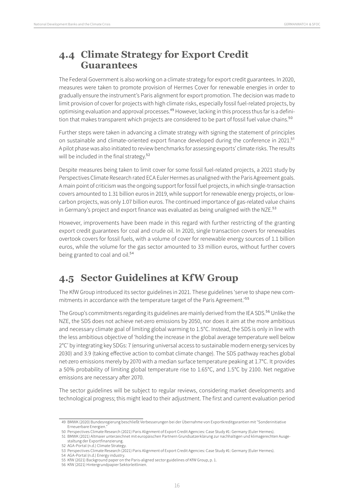## <span id="page-15-0"></span>**4.4 Climate Strategy for Export Credit Guarantees**

The Federal Government is also working on a climate strategy for export credit guarantees. In 2020, measures were taken to promote provision of Hermes Cover for renewable energies in order to gradually ensure the instrument's Paris alignment for export promotion. The decision was made to limit provision of cover for projects with high climate risks, especially fossil fuel-related projects, by optimising evaluation and approval processes.<sup>49</sup> However, lacking in this process thus far is a definition that makes transparent which projects are considered to be part of fossil fuel value chains.<sup>50</sup>

Further steps were taken in advancing a climate strategy with signing the statement of principles on sustainable and climate-oriented export finance developed during the conference in 2021.<sup>51</sup> A pilot phase was also initiated to review benchmarks for assessing exports' climate risks. The results will be included in the final strategy.<sup>52</sup>

Despite measures being taken to limit cover for some fossil fuel-related projects, a 2021 study by Perspectives Climate Research rated ECA Euler Hermes as unaligned with the Paris Agreement goals. A main point of criticism was the ongoing support for fossil fuel projects, in which single-transaction covers amounted to 1.31 billion euros in 2019, while support for renewable energy projects, or lowcarbon projects, was only 1.07 billion euros. The continued importance of gas-related value chains in Germany's project and export finance was evaluated as being unaligned with the NZE.<sup>53</sup>

However, improvements have been made in this regard with further restricting of the granting export credit guarantees for coal and crude oil. In 2020, single transaction covers for renewables overtook covers for fossil fuels, with a volume of cover for renewable energy sources of 1.1 billion euros, while the volume for the gas sector amounted to 33 million euros, without further covers being granted to coal and oil.<sup>54</sup>

# **4.5 Sector Guidelines at KfW Group**

The KfW Group introduced its sector guidelines in 2021. These guidelines 'serve to shape new commitments in accordance with the temperature target of the Paris Agreement.'55

The Group's commitments regarding its guidelines are mainly derived from the IEA SDS.<sup>56</sup> Unlike the NZE, the SDS does not achieve net-zero emissions by 2050, nor does it aim at the more ambitious and necessary climate goal of limiting global warming to 1.5°C. Instead, the SDS is only in line with the less ambitious objective of 'holding the increase in the global average temperature well below 2°C' by integrating key SDGs: 7 (ensuring universal access to sustainable modern energy services by 2030) and 3.9 (taking effective action to combat climate change). The SDS pathway reaches global net-zero emissions merely by 2070 with a median surface temperature peaking at 1.7°C. It provides a 50% probability of limiting global temperature rise to 1.65°C, and 1.5°C by 2100. Net negative emissions are necessary after 2070.

The sector guidelines will be subject to regular reviews, considering market developments and technological progress; this might lead to their adjustment. The first and current evaluation period

<sup>49</sup> BMWK (2020) Bundesregierung beschließt Verbesserungen bei der Übernahme von Exportkreditgarantien mit "Sonderinitiative Erneuerbare Energien."

<sup>50</sup> Perspectives Climate Research (2021) Paris Alignment of Export Credit Agencies: Case Study #1: Germany (Euler Hermes).

<sup>51</sup> BMWK (2021) Altmaier unterzeichnet mit europäischen Partnern Grundsatzerklärung zur nachhaltigen und klimagerechten Ausgestaltung der Exportfinanzierung.

<sup>52</sup> AGA-Portal (n.d.) Climate Strategy.

<sup>53</sup> Perspectives Climate Research (2021) Paris Alignment of Export Credit Agencies: Case Study #1: Germany (Euler Hermes).

<sup>54</sup> AGA-Portal (n.d.) Energy industry.

<sup>55</sup> KfW (2021) Background paper on the Paris-aligned sector guidelines of KfW Group, p. 1.

<sup>56</sup> KfW (2021) Hintergrundpapier Sektorleitlinien.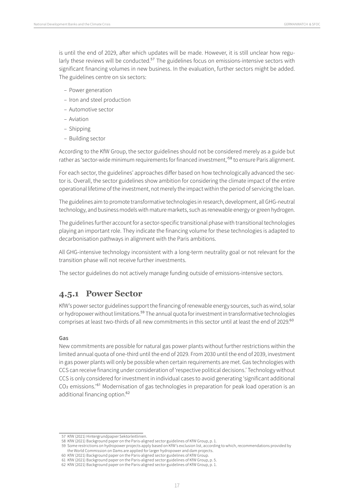<span id="page-16-0"></span>is until the end of 2029, after which updates will be made. However, it is still unclear how regularly these reviews will be conducted.<sup>57</sup> The guidelines focus on emissions-intensive sectors with significant financing volumes in new business. In the evaluation, further sectors might be added. The guidelines centre on six sectors:

- Power generation
- Iron and steel production
- Automotive sector
- Aviation
- Shipping
- Building sector

According to the KfW Group, the sector guidelines should not be considered merely as a guide but rather as 'sector-wide minimum requirements for financed investment,<sup>'58</sup> to ensure Paris alignment.

For each sector, the guidelines' approaches differ based on how technologically advanced the sector is. Overall, the sector guidelines show ambition for considering the climate impact of the entire operational lifetime of the investment, not merely the impact within the period of servicing the loan.

The guidelines aim to promote transformative technologies in research, development, all GHG-neutral technology, and business models with mature markets, such as renewable energy or green hydrogen.

The guidelines further account for a sector-specific transitional phase with transitional technologies playing an important role. They indicate the financing volume for these technologies is adapted to decarbonisation pathways in alignment with the Paris ambitions.

All GHG-intensive technology inconsistent with a long-term neutrality goal or not relevant for the transition phase will not receive further investments.

The sector guidelines do not actively manage funding outside of emissions-intensive sectors.

### **4.5.1 Power Sector**

KfW's power sector guidelines support the financing of renewable energy sources, such as wind, solar or hydropower without limitations.<sup>59</sup> The annual quota for investment in transformative technologies comprises at least two-thirds of all new commitments in this sector until at least the end of 2029.<sup>60</sup>

#### **Gas**

New commitments are possible for natural gas power plants without further restrictions within the limited annual quota of one-third until the end of 2029. From 2030 until the end of 2039, investment in gas power plants will only be possible when certain requirements are met. Gas technologies with CCS can receive financing under consideration of 'respective political decisions.' Technology without CCS is only considered for investment in individual cases to avoid generating 'significant additional CO2 emissions.'61 Modernisation of gas technologies in preparation for peak load operation is an additional financing option.<sup>62</sup>

<sup>57</sup> KfW (2021) Hintergrundpapier Sektorleitlinien.

<sup>58</sup> KfW (2021) Background paper on the Paris-aligned sector guidelines of KfW Group, p. 1.

<sup>59</sup> Some restrictions on hydropower projects apply based on KfW's exclusion list, according to which, recommendations provided by the World Commission on Dams are applied for larger hydropower and dam projects.

<sup>60</sup> KfW (2021) Background paper on the Paris-aligned sector guidelines of KfW Group. 61 KfW (2021) Background paper on the Paris-aligned sector guidelines of KfW Group, p. 5.

<sup>62</sup> KfW (2021) Background paper on the Paris-aligned sector guidelines of KfW Group, p. 1.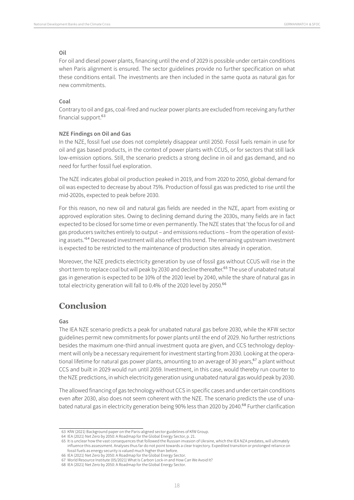#### **Oil**

For oil and diesel power plants, financing until the end of 2029 is possible under certain conditions when Paris alignment is ensured. The sector guidelines provide no further specification on what these conditions entail. The investments are then included in the same quota as natural gas for new commitments.

#### **Coal**

Contrary to oil and gas, coal-fired and nuclear power plants are excluded from receiving any further financial support.<sup>63</sup>

#### **NZE Findings on Oil and Gas**

In the NZE, fossil fuel use does not completely disappear until 2050. Fossil fuels remain in use for oil and gas based products, in the context of power plants with CCUS, or for sectors that still lack low-emission options. Still, the scenario predicts a strong decline in oil and gas demand, and no need for further fossil fuel exploration.

The NZE indicates global oil production peaked in 2019, and from 2020 to 2050, global demand for oil was expected to decrease by about 75%. Production of fossil gas was predicted to rise until the mid-2020s, expected to peak before 2030.

For this reason, no new oil and natural gas fields are needed in the NZE, apart from existing or approved exploration sites. Owing to declining demand during the 2030s, many fields are in fact expected to be closed for some time or even permanently. The NZE states that 'the focus for oil and gas producers switches entirely to output – and emissions reductions – from the operation of existing assets.'<sup>64</sup> Decreased investment will also reflect this trend. The remaining upstream investment is expected to be restricted to the maintenance of production sites already in operation.

Moreover, the NZE predicts electricity generation by use of fossil gas without CCUS will rise in the short term to replace coal but will peak by 2030 and decline thereafter.<sup>65</sup> The use of unabated natural gas in generation is expected to be 10% of the 2020 level by 2040, while the share of natural gas in total electricity generation will fall to 0.4% of the 2020 level by 2050.<sup>66</sup>

### **Conclusion**

#### **Gas**

The IEA NZE scenario predicts a peak for unabated natural gas before 2030, while the KFW sector guidelines permit new commitments for power plants until the end of 2029. No further restrictions besides the maximum one-third annual investment quota are given, and CCS technology deployment will only be a necessary requirement for investment starting from 2030. Looking at the operational lifetime for natural gas power plants, amounting to an average of 30 years, <sup>67</sup> a plant without CCS and built in 2029 would run until 2059. Investment, in this case, would thereby run counter to the NZE predictions, in which electricity generation using unabated natural gas would peak by 2030.

The allowed financing of gas technology without CCS in specific cases and under certain conditions even after 2030, also does not seem coherent with the NZE. The scenario predicts the use of unabated natural gas in electricity generation being 90% less than 2020 by 2040.<sup>68</sup> Further clarification

<sup>63</sup> KfW (2021) Background paper on the Paris-aligned sector guidelines of KfW Group.

<sup>64</sup> IEA (2021) Net Zero by 2050: A Roadmap for the Global Energy Sector, p. 21.

<sup>65</sup> It is unclear how the vast consequences that followed the Russian invasion of Ukraine, which the IEA NZA predates, will ultimately influence this assessment. Analyses thus far do not point towards a clear trajectory. Expedited transition or prolonged reliance on fossil fuels as energy security is valued much higher than before.

<sup>66</sup> IEA (2021) Net Zero by 2050: A Roadmap for the Global Energy Sector.

<sup>67</sup> World Resource Institute (05/2021) What Is Carbon Lock-in and How Can We Avoid It?

<sup>68</sup> IEA (2021) Net Zero by 2050: A Roadmap for the Global Energy Sector.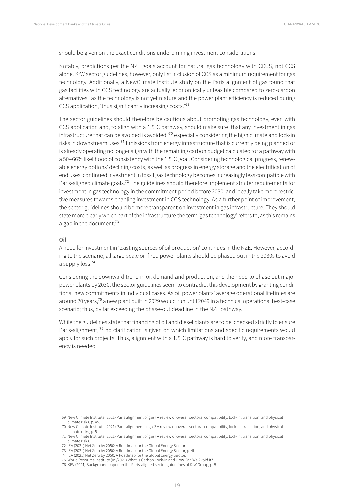should be given on the exact conditions underpinning investment considerations.

Notably, predictions per the NZE goals account for natural gas technology with CCUS, not CCS alone. KfW sector guidelines, however, only list inclusion of CCS as a minimum requirement for gas technology. Additionally, a NewClimate Institute study on the Paris alignment of gas found that gas facilities with CCS technology are actually 'economically unfeasible compared to zero-carbon alternatives,' as the technology is not yet mature and the power plant efficiency is reduced during CCS application, 'thus significantly increasing costs.'69

The sector guidelines should therefore be cautious about promoting gas technology, even with CCS application and, to align with a 1.5°C pathway, should make sure 'that any investment in gas infrastructure that can be avoided is avoided,'70 especially considering the high climate and lock-in risks in downstream uses.71 Emissions from energy infrastructure that is currently being planned or is already operating no longer align with the remaining carbon budget calculated for a pathway with a 50–66% likelihood of consistency with the 1.5°C goal. Considering technological progress, renewable energy options' declining costs, as well as progress in energy storage and the electrification of end uses, continued investment in fossil gas technology becomes increasingly less compatible with Paris-aligned climate goals.<sup>72</sup> The guidelines should therefore implement stricter requirements for investment in gas technology in the commitment period before 2030, and ideally take more restrictive measures towards enabling investment in CCS technology. As a further point of improvement, the sector guidelines should be more transparent on investment in gas infrastructure. They should state more clearly which part of the infrastructure the term 'gas technology' refers to, as this remains a gap in the document.<sup>73</sup>

#### **Oil**

A need for investment in 'existing sources of oil production' continues in the NZE. However, according to the scenario, all large-scale oil-fired power plants should be phased out in the 2030s to avoid a supply loss.74

Considering the downward trend in oil demand and production, and the need to phase out major power plants by 2030, the sector guidelines seem to contradict this development by granting conditional new commitments in individual cases. As oil power plants' average operational lifetimes are around 20 years,75 a new plant built in 2029 would run until 2049 in a technical operational best-case scenario; thus, by far exceeding the phase-out deadline in the NZE pathway.

While the guidelines state that financing of oil and diesel plants are to be 'checked strictly to ensure Paris-alignment,<sup>76</sup> no clarification is given on which limitations and specific requirements would apply for such projects. Thus, alignment with a 1.5°C pathway is hard to verify, and more transparency is needed.

<sup>69</sup> New Climate Institute (2021) Paris alignment of gas? A review of overall sectoral compatibility, lock-in, transition, and physical climate risks, p. 45.

<sup>70</sup> New Climate Institute (2021) Paris alignment of gas? A review of overall sectoral compatibility, lock-in, transition, and physical climate risks, p. 5.

<sup>71</sup> New Climate Institute (2021) Paris alignment of gas? A review of overall sectoral compatibility, lock-in, transition, and physical climate risks.

<sup>72</sup> IEA (2021) Net Zero by 2050: A Roadmap for the Global Energy Sector.

<sup>73</sup> IEA (2021) Net Zero by 2050: A Roadmap for the Global Energy Sector, p. 4f.

<sup>74</sup> IEA (2021) Net Zero by 2050: A Roadmap for the Global Energy Sector. 75 World Resource Institute (05/2021) What Is Carbon Lock-in and How Can We Avoid It?

<sup>76</sup> KfW (2021) Background paper on the Paris-aligned sector guidelines of KfW Group, p. 5.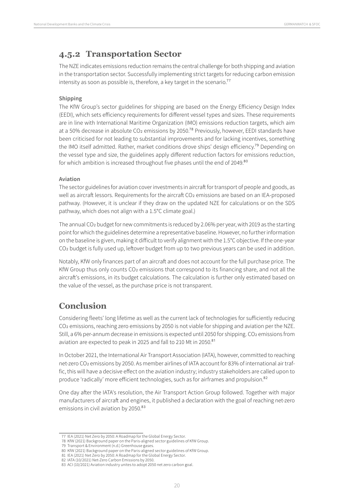### <span id="page-19-0"></span>**4.5.2 Transportation Sector**

The NZE indicates emissions reduction remains the central challenge for both shipping and aviation in the transportation sector. Successfully implementing strict targets for reducing carbon emission intensity as soon as possible is, therefore, a key target in the scenario.<sup>77</sup>

#### **Shipping**

The KfW Group's sector guidelines for shipping are based on the Energy Efficiency Design Index (EEDI), which sets efficiency requirements for different vessel types and sizes. These requirements are in line with International Maritime Organization (IMO) emissions reduction targets, which aim at a 50% decrease in absolute CO<sub>2</sub> emissions by 2050.<sup>78</sup> Previously, however, EEDI standards have been criticised for not leading to substantial improvements and for lacking incentives, something the IMO itself admitted. Rather, market conditions drove ships' design efficiency.79 Depending on the vessel type and size, the guidelines apply different reduction factors for emissions reduction, for which ambition is increased throughout five phases until the end of 2049.80

#### **Aviation**

The sector guidelines for aviation cover investments in aircraft for transport of people and goods, as well as aircraft lessors. Requirements for the aircraft CO<sub>2</sub> emissions are based on an IEA-proposed pathway. (However, it is unclear if they draw on the updated NZE for calculations or on the SDS pathway, which does not align with a 1.5°C climate goal.)

The annual CO2 budget for new commitments is reduced by 2.06% per year, with 2019 as the starting point for which the guidelines determine a representative baseline. However, no further information on the baseline is given, making it difficult to verify alignment with the 1.5°C objective. If the one-year CO<sub>2</sub> budget is fully used up, leftover budget from up to two previous years can be used in addition.

Notably, KfW only finances part of an aircraft and does not account for the full purchase price. The KfW Group thus only counts CO<sub>2</sub> emissions that correspond to its financing share, and not all the aircraft's emissions, in its budget calculations. The calculation is further only estimated based on the value of the vessel, as the purchase price is not transparent.

### **Conclusion**

Considering fleets' long lifetime as well as the current lack of technologies for sufficiently reducing CO2 emissions, reaching zero emissions by 2050 is not viable for shipping and aviation per the NZE. Still, a 6% per-annum decrease in emissions is expected until 2050 for shipping. CO2 emissions from aviation are expected to peak in 2025 and fall to 210 Mt in 2050.<sup>81</sup>

In October 2021, the International Air Transport Association (IATA), however, committed to reaching net-zero CO2 emissions by 2050. As member airlines of IATA account for 83% of international air traffic, this will have a decisive effect on the aviation industry; industry stakeholders are called upon to produce 'radically' more efficient technologies, such as for airframes and propulsion.<sup>82</sup>

One day after the IATA's resolution, the Air Transport Action Group followed. Together with major manufacturers of aircraft and engines, it published a declaration with the goal of reaching net-zero emissions in civil aviation by 2050.83

<sup>77</sup> IEA (2021) Net Zero by 2050: A Roadmap for the Global Energy Sector.

<sup>78</sup> KfW (2021) Background paper on the Paris-aligned sector guidelines of KfW Group.

<sup>79</sup> Transport & Environment (n.d.) Greenhouse gases.

<sup>80</sup> KfW (2021) Background paper on the Paris-aligned sector guidelines of KfW Group. 81 IEA (2021) Net Zero by 2050: A Roadmap for the Global Energy Sector.

<sup>82</sup> IATA (10/2021) Net-Zero Carbon Emissions by 2050.

<sup>83</sup> ACI (10/2021) Aviation industry unites to adopt 2050 net zero carbon goal.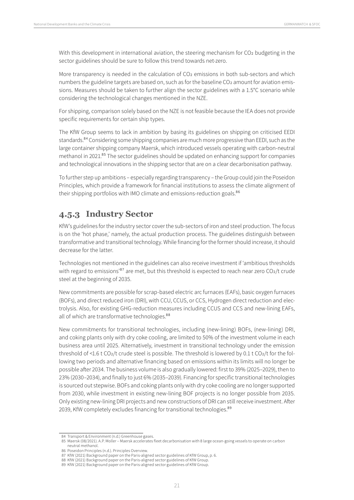<span id="page-20-0"></span>With this development in international aviation, the steering mechanism for CO<sub>2</sub> budgeting in the sector guidelines should be sure to follow this trend towards net-zero.

More transparency is needed in the calculation of CO<sub>2</sub> emissions in both sub-sectors and which numbers the guideline targets are based on, such as for the baseline CO<sub>2</sub> amount for aviation emissions. Measures should be taken to further align the sector guidelines with a 1.5°C scenario while considering the technological changes mentioned in the NZE.

For shipping, comparison solely based on the NZE is not feasible because the IEA does not provide specific requirements for certain ship types.

The KfW Group seems to lack in ambition by basing its guidelines on shipping on criticised EEDI standards.<sup>84</sup> Considering some shipping companies are much more progressive than EEDI, such as the large container shipping company Maersk, which introduced vessels operating with carbon-neutral methanol in 2021.<sup>85</sup> The sector guidelines should be updated on enhancing support for companies and technological innovations in the shipping sector that are on a clear decarbonisation pathway.

To further step up ambitions – especially regarding transparency – the Group could join the Poseidon Principles, which provide a framework for financial institutions to assess the climate alignment of their shipping portfolios with IMO climate and emissions-reduction goals.<sup>86</sup>

### **4.5.3 Industry Sector**

KfW's guidelines for the industry sector cover the sub-sectors of iron and steel production. The focus is on the 'hot phase,' namely, the actual production process. The guidelines distinguish between transformative and transitional technology. While financing for the former should increase, it should decrease for the latter.

Technologies not mentioned in the guidelines can also receive investment if 'ambitious thresholds with regard to emissions<sup>87</sup> are met, but this threshold is expected to reach near zero  $CO_2/t$  crude steel at the beginning of 2035.

New commitments are possible for scrap-based electric arc furnaces (EAFs), basic oxygen furnaces (BOFs), and direct reduced iron (DRI), with CCU, CCUS, or CCS, Hydrogen direct reduction and electrolysis. Also, for existing GHG-reduction measures including CCUS and CCS and new-lining EAFs, all of which are transformative technologies.<sup>88</sup>

New commitments for transitional technologies, including (new-lining) BOFs, (new-lining) DRI, and coking plants only with dry coke cooling, are limited to 50% of the investment volume in each business area until 2025. Alternatively, investment in transitional technology under the emission threshold of <1.6 t CO<sub>2</sub>/t crude steel is possible. The threshold is lowered by 0.1 t CO<sub>2</sub>/t for the following two periods and alternative financing based on emissions within its limits will no longer be possible after 2034. The business volume is also gradually lowered: first to 39% (2025–2029), then to 23% (2030–2034), and finally to just 6% (2035–2039). Financing for specific transitional technologies is sourced out stepwise. BOFs and coking plants only with dry coke cooling are no longer supported from 2030, while investment in existing new-lining BOF projects is no longer possible from 2035. Only existing new-lining DRI projects and new constructions of DRI can still receive investment. After 2039, KfW completely excludes financing for transitional technologies.<sup>89</sup>

<sup>84</sup> Transport & Environment (n.d.) Greenhouse gases.

<sup>85</sup> Maersk (08/2021). A.P. Moller – Maersk accelerates fleet decarbonisation with 8 large ocean-going vessels to operate on carbon neutral methanol.

<sup>86</sup> Poseidon Principles (n.d.). Principles Overview.

<sup>87</sup> KfW (2021) Background paper on the Paris-aligned sector guidelines of KfW Group, p. 6.

<sup>88</sup> KfW (2021) Background paper on the Paris-aligned sector guidelines of KfW Group.

<sup>89</sup> KfW (2021) Background paper on the Paris-aligned sector guidelines of KfW Group.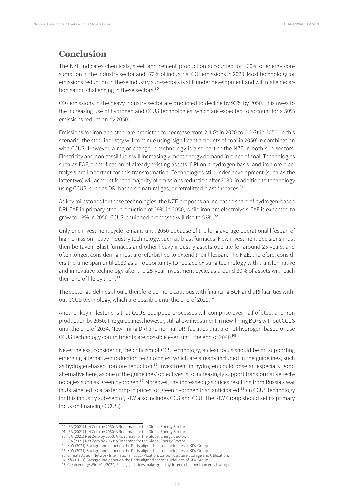### **Conclusion**

The NZE indicates chemicals, steel, and cement production accounted for ~60% of energy consumption in the industry sector and ~70% of industrial CO2 emissions in 2020. Most technology for emissions reduction in these industry sub-sectors is still under development and will make decarbonisation challenging in these sectors.<sup>90</sup>

CO2 emissions in the heavy industry sector are predicted to decline by 93% by 2050. This owes to the increasing use of hydrogen and CCUS technologies, which are expected to account for a 50% emissions reduction by 2050.

Emissions for iron and steel are predicted to decrease from 2.4 Gt in 2020 to 0.2 Gt in 2050. In this scenario, the steel industry will continue using 'significant amounts of coal in 2050' in combination with CCUS. However, a major change in technology is also part of the NZE in both sub-sectors. Electricity and non-fossil fuels will increasingly meet energy demand in place of coal. Technologies such as EAF, electrification of already existing assets, DRI on a hydrogen basis, and iron ore electrolysis are important for this transformation. Technologies still under development (such as the latter two) will account for the majority of emissions reduction after 2030, in addition to technology using CCUS, such as DRI based on natural gas, or retrofitted blast furnaces.<sup>91</sup>

As key milestones for these technologies, the NZE proposes an increased share of hydrogen-based DRI-EAF in primary steel production of 29% in 2050, while iron ore electrolysis-EAF is expected to grow to 13% in 2050. CCUS-equipped processes will rise to 53%.92

Only one investment cycle remains until 2050 because of the long average operational lifespan of high-emission heavy industry technology, such as blast furnaces. New investment decisions must then be taken. Blast furnaces and other heavy industry assets operate for around 25 years, and often longer, considering most are refurbished to extend their lifespan. The NZE, therefore, considers the time span until 2030 as an opportunity to replace existing technology with transformative and innovative technology after the 25-year investment cycle, as around 30% of assets will reach their end of life by then.<sup>93</sup>

The sector guidelines should therefore be more cautious with financing BOF and DRI facilities without CCUS technology, which are possible until the end of 2029.94

Another key milestone is that CCUS-equipped processes will comprise over half of steel and iron production by 2050. The guidelines, however, still allow investment in new-lining BOFs without CCUS until the end of 2034. New-lining DRI and normal DRI facilities that are not hydrogen-based or use CCUS technology commitments are possible even until the end of 2040.95

Nevertheless, considering the criticism of CCS technology, a clear focus should be on supporting emerging alternative production technologies, which are already included in the guidelines, such as hydrogen-based iron ore reduction.<sup>96</sup> Investment in hydrogen could pose an especially good alternative here, as one of the guidelines' objectives is to increasingly support transformative technologies such as green hydrogen.<sup>97</sup> Moreover, the increased gas prices resulting from Russia's war in Ukraine led to a faster drop in prices for green hydrogen than anticipated.<sup>98</sup> (In CCUS technology for this industry sub-sector, KfW also includes CCS and CCU. The KfW Group should set its primary focus on financing CCUS.)

- 94 KfW (2021) Background paper on the Paris-aligned sector guidelines of KfW Group.
- 95 KfW (2021) Background paper on the Paris-aligned sector guidelines of KfW Group.

<sup>90</sup> IEA (2021) Net Zero by 2050: A Roadmap for the Global Energy Sector.

<sup>91</sup> IEA (2021) Net Zero by 2050: A Roadmap for the Global Energy Sector.

<sup>92</sup> IEA (2021) Net Zero by 2050: A Roadmap for the Global Energy Sector. 93 IEA (2021) Net Zero by 2050: A Roadmap for the Global Energy Sector.

<sup>96</sup> Climate Action Network International (2021) Position: Carbon Capture Storage and Utilisation.

<sup>97</sup> KfW (2021) Background paper on the Paris-aligned sector guidelines of KfW Group.

<sup>98</sup> Clean energy Wire (04/2022) Rising gas prices make green hydrogen cheaper than grey hydrogen.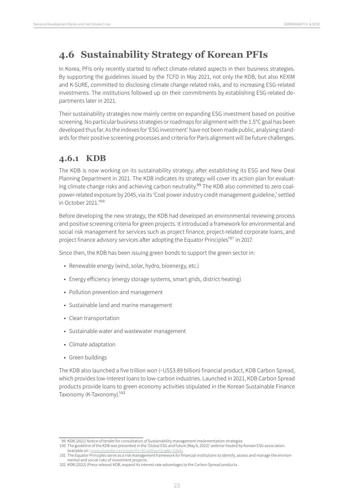## <span id="page-22-0"></span>**4.6 Sustainability Strategy of Korean PFIs**

In Korea, PFIs only recently started to reflect climate-related aspects in their business strategies. By supporting the guidelines issued by the TCFD in May 2021, not only the KDB, but also KEXIM and K-SURE, committed to disclosing climate change-related risks, and to increasing ESG-related investments. The institutions followed up on their commitments by establishing ESG-related departments later in 2021.

Their sustainability strategies now mainly centre on expanding ESG investment based on positive screening. No particular business strategies or roadmaps for alignment with the 1.5°C goal has been developed thus far. As the indexes for 'ESG investment' have not been made public, analysing standards for their positive screening processes and criteria for Paris alignment will be future challenges.

### **4.6.1 KDB**

The KDB is now working on its sustainability strategy, after establishing its ESG and New Deal Planning Department in 2021. The KDB indicates its strategy will cover its action plan for evaluating climate change risks and achieving carbon neutrality.<sup>99</sup> The KDB also committed to zero coalpower-related exposure by 2045, via its 'Coal power industry credit management guideline,' settled in October 2021.<sup>100</sup>

Before developing the new strategy, the KDB had developed an environmental reviewing process and positive screening criteria for green projects. It introduced a framework for environmental and social risk management for services such as project finance, project-related corporate loans, and project finance advisory services after adopting the Equator Principles<sup>101</sup> in 2017.

Since then, the KDB has been issuing green bonds to support the green sector in:

- Renewable energy (wind, solar, hydro, bioenergy, etc.)
- Energy efficiency (energy storage systems, smart grids, district heating)
- Pollution prevention and management
- Sustainable land and marine management
- Clean transportation
- Sustainable water and wastewater management
- Climate adaptation
- Green buildings

The KDB also launched a five trillion won (~US\$3.89 billion) financial product, KDB Carbon Spread, which provides low-interest loans to low-carbon industries. Launched in 2021, KDB Carbon Spread products provide loans to green economy activities stipulated in the Korean Sustainable Finance Taxonomy (K-Taxonomy).<sup>102</sup>

<sup>99</sup> KDB (2021) Notice of tender for consultation of Sustainability management implementation strategies

<sup>100</sup> The guideline of the KDB was presented in the 'Global ESG and future (May 6, 2022)' webinar hosted by Korean ESG association. Available on : [www.youtube.com/watch?v=2CxaWwuiQUg&t=3364s](https://www.youtube.com/watch?v=2CxaWwuiQUg&t=3364s)

<sup>101</sup> The Equator Principles serve as a risk management framework for financial institutions to identify, assess and manage the environmental and social risks of investment projects.

<sup>102</sup> KDB (2022) (Press release) KDB, expand its interest rate advantages to the Carbon Spread products.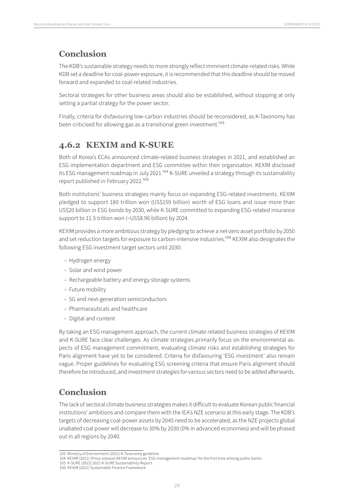### <span id="page-23-0"></span>**Conclusion**

The KDB's sustainable strategy needs to more strongly reflect imminent climate-related risks. While KDB set a deadline for coal-power exposure, it is recommended that this deadline should be moved forward and expanded to coal-related industries.

Sectoral strategies for other business areas should also be established, without stopping at only setting a partial strategy for the power sector.

Finally, criteria for disfavouring low-carbon industries should be reconsidered, as K-Taxonomy has been criticised for allowing gas as a transitional green investment.<sup>103</sup>

## **4.6.2 KEXIM and K-SURE**

Both of Korea's ECAs announced climate-related business strategies in 2021, and established an ESG implementation department and ESG committee within their organisation. KEXIM disclosed its ESG management roadmap in July 2021.<sup>104</sup> K-SURE unveiled a strategy through its sustainability report published in February 2022.105

Both institutions' business strategies mainly focus on expanding ESG-related investments. KEXIM pledged to support 180 trillion won (US\$159 billion) worth of ESG loans and issue more than US\$20 billion in ESG bonds by 2030, while K-SURE committed to expanding ESG-related insurance support to 11.5 trillion won (~US\$8.96 billion) by 2024.

KEXIM provides a more ambitious strategy by pledging to achieve a net-zero asset portfolio by 2050 and set reduction targets for exposure to carbon-intensive industries.<sup>106</sup> KEXIM also designates the following ESG investment target sectors until 2030:

- Hydrogen energy
- Solar and wind power
- Rechargeable battery and energy storage systems
- Future mobility
- 5G and next-generation semiconductors
- Pharmaceuticals and healthcare
- Digital and content

By taking an ESG management approach, the current climate-related business strategies of KEXIM and K-SURE face clear challenges. As climate strategies primarily focus on the environmental aspects of ESG management commitment, evaluating climate risks and establishing strategies for Paris alignment have yet to be considered. Criteria for disfavouring 'ESG investment' also remain vague. Proper guidelines for evaluating ESG screening criteria that ensure Paris alignment should therefore be introduced, and investment strategies for various sectors need to be added afterwards.

### **Conclusion**

The lack of sectoral climate business strategies makes it difficult to evaluate Korean public financial institutions' ambitions and compare them with the IEA's NZE scenario at this early stage. The KDB's targets of decreasing coal-power assets by 2045 need to be accelerated, as the NZE projects global unabated coal power will decrease to 30% by 2030 (0% in advanced economies) and will be phased out in all regions by 2040.

<sup>103</sup> Ministry of Environment (2021) K-Taxonomy guideline

<sup>104</sup> KEXIM (2021) (Press release) KEXIM announces 'ESG management roadmap' for the first time among public banks.

<sup>105</sup> K-SURE (2022) 2021 K-SURE Sustainability Report.

<sup>106</sup> KEXIM (2021) Sustainable Finance Framework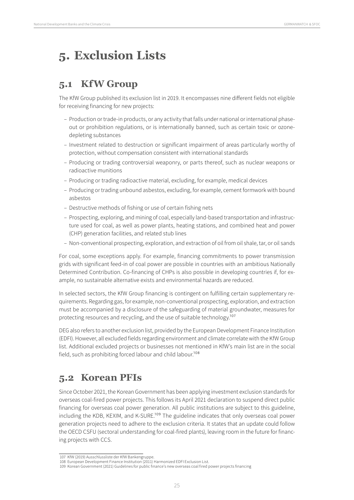# <span id="page-24-1"></span><span id="page-24-0"></span>**5. Exclusion Lists**

## **5.1 KfW Group**

The KfW Group published its exclusion list in 2019. It encompasses nine different fields not eligible for receiving financing for new projects:

- Production or trade-in products, or any activity that falls under national or international phaseout or prohibition regulations, or is internationally banned, such as certain toxic or ozonedepleting substances
- Investment related to destruction or significant impairment of areas particularly worthy of protection, without compensation consistent with international standards
- Producing or trading controversial weaponry, or parts thereof, such as nuclear weapons or radioactive munitions
- Producing or trading radioactive material, excluding, for example, medical devices
- Producing or trading unbound asbestos, excluding, for example, cement formwork with bound asbestos
- Destructive methods of fishing or use of certain fishing nets
- Prospecting, exploring, and mining of coal, especially land-based transportation and infrastructure used for coal, as well as power plants, heating stations, and combined heat and power (CHP) generation facilities, and related stub lines
- Non-conventional prospecting, exploration, and extraction of oil from oil shale, tar, or oil sands

For coal, some exceptions apply. For example, financing commitments to power transmission grids with significant feed-in of coal power are possible in countries with an ambitious Nationally Determined Contribution. Co-financing of CHPs is also possible in developing countries if, for example, no sustainable alternative exists and environmental hazards are reduced.

In selected sectors, the KfW Group financing is contingent on fulfilling certain supplementary requirements. Regarding gas, for example, non-conventional prospecting, exploration, and extraction must be accompanied by a disclosure of the safeguarding of material groundwater, measures for protecting resources and recycling, and the use of suitable technology.<sup>107</sup>

DEG also refers to another exclusion list, provided by the European Development Finance Institution (EDFI). However, all excluded fields regarding environment and climate correlate with the KfW Group list. Additional excluded projects or businesses not mentioned in KfW's main list are in the social field, such as prohibiting forced labour and child labour.<sup>108</sup>

# **5.2 Korean PFIs**

Since October 2021, the Korean Government has been applying investment exclusion standards for overseas coal-fired power projects. This follows its April 2021 declaration to suspend direct public financing for overseas coal power generation. All public institutions are subject to this guideline, including the KDB, KEXIM, and K-SURE.<sup>109</sup> The guideline indicates that only overseas coal power generation projects need to adhere to the exclusion criteria. It states that an update could follow the OECD CSFU (sectoral understanding for coal-fired plants), leaving room in the future for financing projects with CCS.

<sup>107</sup> KfW (2019) Ausschlussliste der KfW Bankengruppe.

<sup>108</sup> European Development Finance Institution (2011) Harmonized EDFI Exclusion List.

<sup>109</sup> Korean Government (2021) Guidelines for public finance's new overseas coal fired power projects financing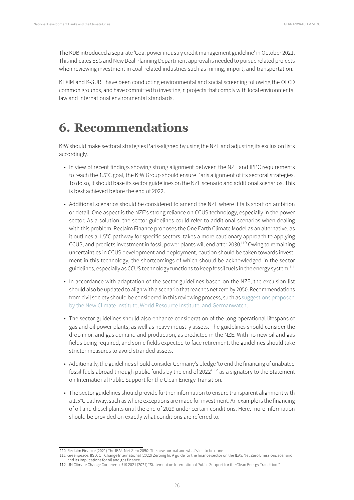<span id="page-25-0"></span>The KDB introduced a separate 'Coal power industry credit management guideline' in October 2021. This indicates ESG and New Deal Planning Department approval is needed to pursue related projects when reviewing investment in coal-related industries such as mining, import, and transportation.

KEXIM and K-SURE have been conducting environmental and social screening following the OECD common grounds, and have committed to investing in projects that comply with local environmental law and international environmental standards.

# **6. Recommendations**

KfW should make sectoral strategies Paris-aligned by using the NZE and adjusting its exclusion lists accordingly.

- In view of recent findings showing strong alignment between the NZE and IPPC requirements to reach the 1.5°C goal, the KfW Group should ensure Paris alignment of its sectoral strategies. To do so, it should base its sector guidelines on the NZE scenario and additional scenarios. This is best achieved before the end of 2022.
- Additional scenarios should be considered to amend the NZE where it falls short on ambition or detail. One aspect is the NZE's strong reliance on CCUS technology, especially in the power sector. As a solution, the sector guidelines could refer to additional scenarios when dealing with this problem. Reclaim Finance proposes the One Earth Climate Model as an alternative, as it outlines a 1.5°C pathway for specific sectors, takes a more cautionary approach to applying CCUS, and predicts investment in fossil power plants will end after 2030.110 Owing to remaining uncertainties in CCUS development and deployment, caution should be taken towards investment in this technology, the shortcomings of which should be acknowledged in the sector guidelines, especially as CCUS technology functions to keep fossil fuels in the energy system.111
- In accordance with adaptation of the sector guidelines based on the NZE, the exclusion list should also be updated to align with a scenario that reaches net zero by 2050. Recommendations from civil society should be considered in this reviewing process, such as [suggestions proposed](https://germanwatch.org/sites/default/files/Aligning%20Financial%20Intermediary%20Investments_23-06-2021_0.pdf) by the New [Climate Institute, World Resource Institute, and Germanwatch.](https://germanwatch.org/sites/default/files/Aligning%20Financial%20Intermediary%20Investments_23-06-2021_0.pdf)
- The sector guidelines should also enhance consideration of the long operational lifespans of gas and oil power plants, as well as heavy industry assets. The guidelines should consider the drop in oil and gas demand and production, as predicted in the NZE. With no new oil and gas fields being required, and some fields expected to face retirement, the guidelines should take stricter measures to avoid stranded assets.
- Additionally, the guidelines should consider Germany's pledge 'to end the financing of unabated fossil fuels abroad through public funds by the end of 2022'112 as a signatory to the Statement on International Public Support for the Clean Energy Transition.
- The sector guidelines should provide further information to ensure transparent alignment with a 1.5°C pathway, such as where exceptions are made for investment. An example is the financing of oil and diesel plants until the end of 2029 under certain conditions. Here, more information should be provided on exactly what conditions are referred to.

<sup>110</sup> Reclaim Finance (2021) The IEA's Net-Zero 2050: The new normal and what's left to be done.

<sup>111</sup> Greenpeace; IISD; Oil Change International (2022) Zeroing In: A guide for the finance sector on the IEA's Net Zero Emissions scenario and its implications for oil and gas finance.

<sup>112</sup> UN Climate Change Conference UK 2021 (2021) "Statement on International Public Support for the Clean Energy Transition."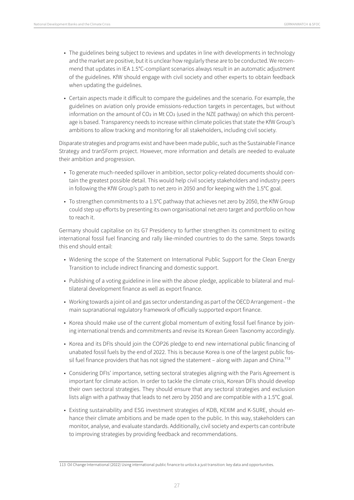- The guidelines being subject to reviews and updates in line with developments in technology and the market are positive, but it is unclear how regularly these are to be conducted. We recommend that updates in IEA 1.5°C-compliant scenarios always result in an automatic adjustment of the guidelines. KfW should engage with civil society and other experts to obtain feedback when updating the guidelines.
- Certain aspects made it difficult to compare the guidelines and the scenario. For example, the guidelines on aviation only provide emissions-reduction targets in percentages, but without information on the amount of  $CO<sub>2</sub>$  in Mt  $CO<sub>2</sub>$  (used in the NZE pathway) on which this percentage is based. Transparency needs to increase within climate policies that state the KfW Group's ambitions to allow tracking and monitoring for all stakeholders, including civil society.

Disparate strategies and programs exist and have been made public, such as the Sustainable Finance Strategy and tranSForm project. However, more information and details are needed to evaluate their ambition and progression.

- To generate much-needed spillover in ambition, sector policy-related documents should contain the greatest possible detail. This would help civil society stakeholders and industry peers in following the KfW Group's path to net zero in 2050 and for keeping with the 1.5°C goal.
- To strengthen commitments to a 1.5°C pathway that achieves net zero by 2050, the KfW Group could step up efforts by presenting its own organisational net-zero target and portfolio on how to reach it.

Germany should capitalise on its G7 Presidency to further strengthen its commitment to exiting international fossil fuel financing and rally like-minded countries to do the same. Steps towards this end should entail:

- Widening the scope of the Statement on International Public Support for the Clean Energy Transition to include indirect financing and domestic support.
- Publishing of a voting guideline in line with the above pledge, applicable to bilateral and multilateral development finance as well as export finance.
- Working towards a joint oil and gas sector understanding as part of the OECD Arrangement the main supranational regulatory framework of officially supported export finance.
- Korea should make use of the current global momentum of exiting fossil fuel finance by joining international trends and commitments and revise its Korean Green Taxonomy accordingly.
- Korea and its DFIs should join the COP26 pledge to end new international public financing of unabated fossil fuels by the end of 2022. This is because Korea is one of the largest public fossil fuel finance providers that has not signed the statement  $-$  along with Japan and China.<sup>113</sup>
- Considering DFIs' importance, setting sectoral strategies aligning with the Paris Agreement is important for climate action. In order to tackle the climate crisis, Korean DFIs should develop their own sectoral strategies. They should ensure that any sectoral strategies and exclusion lists align with a pathway that leads to net zero by 2050 and are compatible with a 1.5°C goal.
- Existing sustainability and ESG investment strategies of KDB, KEXIM and K-SURE, should enhance their climate ambitions and be made open to the public. In this way, stakeholders can monitor, analyse, and evaluate standards. Additionally, civil society and experts can contribute to improving strategies by providing feedback and recommendations.

<sup>113</sup> Oil Change International (2022) Using international public finance to unlock a just transition: key data and opportunities.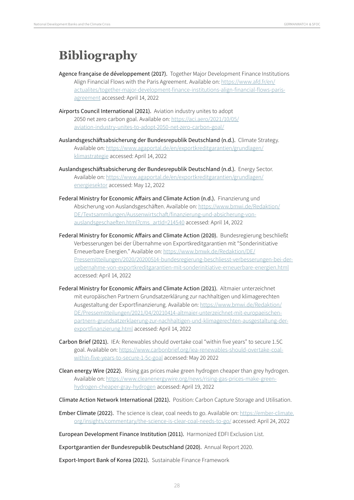# <span id="page-27-0"></span>**Bibliography**

- Agence française de développement (2017). Together Major Development Finance Institutions Align Financial Flows with the Paris Agreement. Available on: [https://www.afd.fr/en/](https://www.afd.fr/en/actualites/together-major-development-finance-institutions-align-financial-flows-paris-agreement) [actualites/together-major-development-finance-institutions-align-financial-flows-paris](https://www.afd.fr/en/actualites/together-major-development-finance-institutions-align-financial-flows-paris-agreement)[agreement](https://www.afd.fr/en/actualites/together-major-development-finance-institutions-align-financial-flows-paris-agreement) accessed: April 14, 2022
- Airports Council International (2021). Aviation industry unites to adopt 2050 net zero carbon goal. Available on: [https://aci.aero/2021/10/05/](https://aci.aero/2021/10/05/aviation-industry-unites-to-adopt-2050-net-zero-carbon-goal/) [aviation-industry-unites-to-adopt-2050-net-zero-carbon-goal/](https://aci.aero/2021/10/05/aviation-industry-unites-to-adopt-2050-net-zero-carbon-goal/)
- Auslandsgeschäftsabsicherung der Bundesrepublik Deutschland (n.d.). Climate Strategy. Available on: [https://www.agaportal.de/en/exportkreditgarantien/grundlagen/](https://www.agaportal.de/en/exportkreditgarantien/grundlagen/klimastrategie) [klimastrategie](https://www.agaportal.de/en/exportkreditgarantien/grundlagen/klimastrategie) accessed: April 14, 2022
- Auslandsgeschäftsabsicherung der Bundesrepublik Deutschland (n.d.). Energy Sector. Available on: [https://www.agaportal.de/en/exportkreditgarantien/grundlagen/](https://www.agaportal.de/en/exportkreditgarantien/grundlagen/energiesektor) [energiesektor](https://www.agaportal.de/en/exportkreditgarantien/grundlagen/energiesektor) accessed: May 12, 2022
- Federal Ministry for Economic Affairs and Climate Action (n.d.). Finanzierung und Absicherung von Auslandsgeschäften. Available on: [https://www.bmwi.de/Redaktion/](https://www.bmwi.de/Redaktion/DE/Textsammlungen/Aussenwirtschaft/finanzierung-und-absicherung-von-auslandsgeschaeften.html?cms_artId=214540) [DE/Textsammlungen/Aussenwirtschaft/finanzierung-und-absicherung-von](https://www.bmwi.de/Redaktion/DE/Textsammlungen/Aussenwirtschaft/finanzierung-und-absicherung-von-auslandsgeschaeften.html?cms_artId=214540)[auslandsgeschaeften.html?cms\\_artId=214540](https://www.bmwi.de/Redaktion/DE/Textsammlungen/Aussenwirtschaft/finanzierung-und-absicherung-von-auslandsgeschaeften.html?cms_artId=214540) accessed: April 14, 2022
- Federal Ministry for Economic Affairs and Climate Action (2020). Bundesregierung beschließt Verbesserungen bei der Übernahme von Exportkreditgarantien mit "Sonderinitiative Erneuerbare Energien." Available on: [https://www.bmwk.de/Redaktion/DE/](https://www.bmwk.de/Redaktion/DE/Pressemitteilungen/2020/20200514-bundesregierung-beschliesst-verbesserungen-bei-der-uebernahme-von-exportkreditgarantien-mit-sonderinitiative-erneuerbare-energien.html) [Pressemitteilungen/2020/20200514-bundesregierung-beschliesst-verbesserungen-bei-der](https://www.bmwk.de/Redaktion/DE/Pressemitteilungen/2020/20200514-bundesregierung-beschliesst-verbesserungen-bei-der-uebernahme-von-exportkreditgarantien-mit-sonderinitiative-erneuerbare-energien.html)[uebernahme-von-exportkreditgarantien-mit-sonderinitiative-erneuerbare-energien.html](https://www.bmwk.de/Redaktion/DE/Pressemitteilungen/2020/20200514-bundesregierung-beschliesst-verbesserungen-bei-der-uebernahme-von-exportkreditgarantien-mit-sonderinitiative-erneuerbare-energien.html) accessed: April 14, 2022
- Federal Ministry for Economic Affairs and Climate Action (2021). Altmaier unterzeichnet mit europäischen Partnern Grundsatzerklärung zur nachhaltigen und klimagerechten Ausgestaltung der Exportfinanzierung. Available on: [https://www.bmwi.de/Redaktion/](https://www.bmwi.de/Redaktion/DE/Pressemitteilungen/2021/04/20210414-altmaier-unterzeichnet-mit-europaeischen-partnern-grundsatzerklaerung-zur-nachhaltigen-und-klimagerechten-ausgestaltung-der-exportfinanzierung.html) [DE/Pressemitteilungen/2021/04/20210414-altmaier-unterzeichnet-mit-europaeischen](https://www.bmwi.de/Redaktion/DE/Pressemitteilungen/2021/04/20210414-altmaier-unterzeichnet-mit-europaeischen-partnern-grundsatzerklaerung-zur-nachhaltigen-und-klimagerechten-ausgestaltung-der-exportfinanzierung.html)[partnern-grundsatzerklaerung-zur-nachhaltigen-und-klimagerechten-ausgestaltung-der](https://www.bmwi.de/Redaktion/DE/Pressemitteilungen/2021/04/20210414-altmaier-unterzeichnet-mit-europaeischen-partnern-grundsatzerklaerung-zur-nachhaltigen-und-klimagerechten-ausgestaltung-der-exportfinanzierung.html)[exportfinanzierung.html](https://www.bmwi.de/Redaktion/DE/Pressemitteilungen/2021/04/20210414-altmaier-unterzeichnet-mit-europaeischen-partnern-grundsatzerklaerung-zur-nachhaltigen-und-klimagerechten-ausgestaltung-der-exportfinanzierung.html) accessed: April 14, 2022
- Carbon Brief (2021). IEA: Renewables should overtake coal "within five years" to secure 1.5C goal. Available on: [https://www.carbonbrief.org/iea-renewables-should-overtake-coal](https://www.carbonbrief.org/iea-renewables-should-overtake-coal-within-five-years-to-secure-1-5c-goal)[within-five-years-to-secure-1-5c-goal](https://www.carbonbrief.org/iea-renewables-should-overtake-coal-within-five-years-to-secure-1-5c-goal) accessed: May 20 2022
- Clean energy Wire (2022). Rising gas prices make green hydrogen cheaper than grey hydrogen. Available on: [https://www.cleanenergywire.org/news/rising-gas-prices-make-green](https://www.cleanenergywire.org/news/rising-gas-prices-make-green-hydrogen-cheaper-gray-hydrogen)[hydrogen-cheaper-gray-hydrogen](https://www.cleanenergywire.org/news/rising-gas-prices-make-green-hydrogen-cheaper-gray-hydrogen) accessed: April 19, 2022
- Climate Action Network International (2021). Position: Carbon Capture Storage and Utilisation.
- Ember Climate (2022). The science is clear, coal needs to go. Available on: [https://ember-climate.](https://ember-climate.org/insights/commentary/the-science-is-clear-coal-needs-to-go/) [org/insights/commentary/the-science-is-clear-coal-needs-to-go/](https://ember-climate.org/insights/commentary/the-science-is-clear-coal-needs-to-go/) accessed: April 24, 2022

European Development Finance Institution (2011). Harmonized EDFI Exclusion List.

Exportgarantien der Bundesrepublik Deutschland (2020). Annual Report 2020.

Export-Import Bank of Korea (2021). Sustainable Finance Framework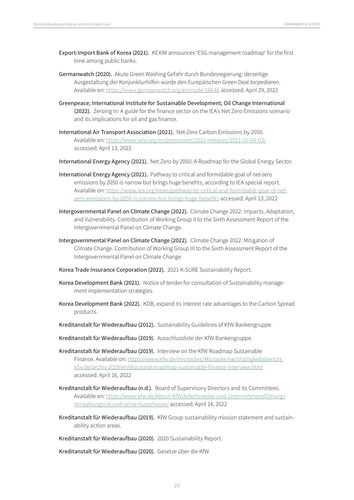- Export-Import Bank of Korea (2021). KEXIM announces 'ESG management roadmap' for the first time among public banks.
- Germanwatch (2020). Akute Green Washing Gefahr durch Bundesregierung: derzeitige Ausgestaltung der Konjunkturhilfen würde den Europäischen Green Deal torpedieren. Available on:<https://www.germanwatch.org/en/node/18646> accessed: April 29, 2022
- Greenpeace; International Institute for Sustainable Development; Oil Change International (2022). Zeroing In: A guide for the finance sector on the IEA's Net Zero Emissions scenario and its implications for oil and gas finance.
- International Air Transport Association (2021). Net-Zero Carbon Emissions by 2050. Available on:<https://www.iata.org/en/pressroom/2021-releases/2021-10-04-03/> accessed: April 13, 2022
- International Energy Agency (2021). Net Zero by 2050: A Roadmap for the Global Energy Sector.
- International Energy Agency (2021). Pathway to critical and formidable goal of net-zero emissions by 2050 is narrow but brings huge benefits, according to IEA special report. Available on: [https://www.iea.org/news/pathway-to-critical-and-formidable-goal-of-net](https://www.iea.org/news/pathway-to-critical-and-formidable-goal-of-net-zero-emissions-by-2050-is-narrow-but-brings-huge-benefits)[zero-emissions-by-2050-is-narrow-but-brings-huge-benefits](https://www.iea.org/news/pathway-to-critical-and-formidable-goal-of-net-zero-emissions-by-2050-is-narrow-but-brings-huge-benefits) accessed: April 13, 2022
- Intergovernmental Panel on Climate Change (2022). Climate Change 2022: Impacts, Adaptation, and Vulnerability. Contribution of Working Group II to the Sixth Assessment Report of the Intergovernmental Panel on Climate Change.
- Intergovernmental Panel on Climate Change (2022). Climate Change 2022: Mitigation of Climate Change. Contribution of Working Group III to the Sixth Assessment Report of the Intergovernmental Panel on Climate Change.
- Korea Trade Insurance Corporation (2022). 2021 K-SURE Sustainability Report.
- Korea Development Bank (2021). Notice of tender for consultation of Sustainability management implementation strategies.
- Korea Development Bank (2022). KDB, expand its interest rate advantages to the Carbon Spread products.
- Kreditanstalt für Wiederaufbau (2012). Sustainability Guidelines of KfW Bankengruppe.
- Kreditanstalt für Wiederaufbau (2019). Ausschlussliste der KfW Bankengruppe.
- Kreditanstalt für Wiederaufbau (2019). Interview on the KfW Roadmap Sustainable Finance. Available on: [https://www.kfw.de/microsites/Microsite/nachhaltigkeitsbericht.](https://www.kfw.de/microsites/Microsite/nachhaltigkeitsbericht.kfw.de/archiv-2019/en/discourse/roadmap-sustainable-finance-interview.html) [kfw.de/archiv-2019/en/discourse/roadmap-sustainable-finance-interview.html](https://www.kfw.de/microsites/Microsite/nachhaltigkeitsbericht.kfw.de/archiv-2019/en/discourse/roadmap-sustainable-finance-interview.html) accessed: April 16, 2022
- Kreditanstalt für Wiederaufbau (n.d.). Board of Supervisory Directors and its Committees. Available on: [https://www.kfw.de/About-KfW/Arbeitsweise-und-Unternehmensführung/](https://www.kfw.de/About-KfW/Arbeitsweise-und-Unternehmensführung/Verwaltungsrat-und-seine-Ausschüsse/) [Verwaltungsrat-und-seine-Ausschüsse/](https://www.kfw.de/About-KfW/Arbeitsweise-und-Unternehmensführung/Verwaltungsrat-und-seine-Ausschüsse/) accessed: April 14, 2022
- Kreditanstalt für Wiederaufbau (2019). KfW Group sustainability mission statement and sustainability action areas.
- Kreditanstalt für Wiederaufbau (2020). 2020 Sustainability Report.

Kreditanstalt für Wiederaufbau (2020). Gesetze über die KfW.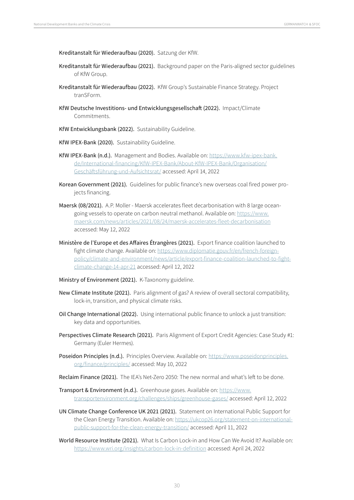Kreditanstalt für Wiederaufbau (2020). Satzung der KfW.

- Kreditanstalt für Wiederaufbau (2021). Background paper on the Paris-aligned sector guidelines of KfW Group.
- Kreditanstalt für Wiederaufbau (2022). KfW Group's Sustainable Finance Strategy. Project tranSForm.
- KfW Deutsche Investitions- und Entwicklungsgesellschaft (2022). Impact/Climate Commitments.
- KfW Entwicklungsbank (2022). Sustainability Guideline.
- KfW IPEX-Bank (2020). Sustainability Guideline.
- KfW IPEX-Bank (n.d.). Management and Bodies. Available on: [https://www.kfw-ipex-bank.](https://www.kfw-ipex-bank.de/International-financing/KfW-IPEX-Bank/About-KfW-IPEX-Bank/Organisation/Geschäftsführung-und-Aufsichtsrat/) [de/International-financing/KfW-IPEX-Bank/About-KfW-IPEX-Bank/Organisation/](https://www.kfw-ipex-bank.de/International-financing/KfW-IPEX-Bank/About-KfW-IPEX-Bank/Organisation/Geschäftsführung-und-Aufsichtsrat/) [Geschäftsführung-und-Aufsichtsrat/](https://www.kfw-ipex-bank.de/International-financing/KfW-IPEX-Bank/About-KfW-IPEX-Bank/Organisation/Geschäftsführung-und-Aufsichtsrat/) accessed: April 14, 2022
- Korean Government (2021). Guidelines for public finance's new overseas coal fired power projects financing.
- Maersk (08/2021). A.P. Moller Maersk accelerates fleet decarbonisation with 8 large oceangoing vessels to operate on carbon neutral methanol. Available on: [https://www.](https://www.maersk.com/news/articles/2021/08/24/maersk-accelerates-fleet-decarbonisation) [maersk.com/news/articles/2021/08/24/maersk-accelerates-fleet-decarbonisation](https://www.maersk.com/news/articles/2021/08/24/maersk-accelerates-fleet-decarbonisation) accessed: May 12, 2022
- Ministère de l'Europe et des Affaires Étrangères (2021). Export finance coalition launched to fight climate change. Available on: [https://www.diplomatie.gouv.fr/en/french-foreign](https://www.diplomatie.gouv.fr/en/french-foreign-policy/climate-and-environment/news/article/export-finance-coalition-launched-to-fight-climate-change-14-apr-21)[policy/climate-and-environment/news/article/export-finance-coalition-launched-to-fight](https://www.diplomatie.gouv.fr/en/french-foreign-policy/climate-and-environment/news/article/export-finance-coalition-launched-to-fight-climate-change-14-apr-21)[climate-change-14-apr-21](https://www.diplomatie.gouv.fr/en/french-foreign-policy/climate-and-environment/news/article/export-finance-coalition-launched-to-fight-climate-change-14-apr-21) accessed: April 12, 2022
- Ministry of Environment (2021). K-Taxonomy guideline.
- New Climate Institute (2021). Paris alignment of gas? A review of overall sectoral compatibility, lock-in, transition, and physical climate risks.
- Oil Change International (2022). Using international public finance to unlock a just transition: key data and opportunities.
- Perspectives Climate Research (2021). Paris Alignment of Export Credit Agencies: Case Study #1: Germany (Euler Hermes).
- Poseidon Principles (n.d.). Principles Overview. Available on: [https://www.poseidonprinciples.](https://www.poseidonprinciples.org/finance/principles/) [org/finance/principles/](https://www.poseidonprinciples.org/finance/principles/) accessed: May 10, 2022
- Reclaim Finance (2021). The IEA's Net-Zero 2050: The new normal and what's left to be done.
- Transport & Environment (n.d.). Greenhouse gases. Available on: [https://www.](https://www.transportenvironment.org/challenges/ships/greenhouse-gases/) [transportenvironment.org/challenges/ships/greenhouse-gases/](https://www.transportenvironment.org/challenges/ships/greenhouse-gases/) accessed: April 12, 2022
- UN Climate Change Conference UK 2021 (2021). Statement on International Public Support for the Clean Energy Transition. Available on: [https://ukcop26.org/statement-on-international](https://ukcop26.org/statement-on-international-public-support-for-the-clean-energy-transition/)[public-support-for-the-clean-energy-transition/](https://ukcop26.org/statement-on-international-public-support-for-the-clean-energy-transition/) accessed: April 11, 2022
- World Resource Institute (2021). What Is Carbon Lock-in and How Can We Avoid It? Available on: <https://www.wri.org/insights/carbon-lock-in-definition>accessed: April 24, 2022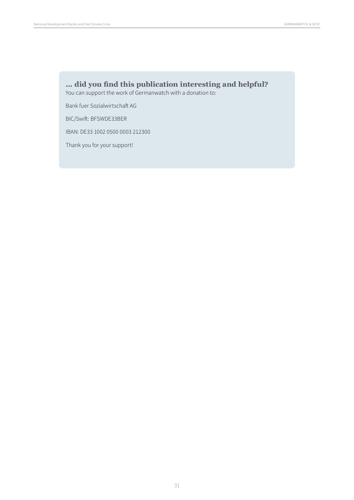## **... did you find this publication interesting and helpful?**

You can support the work of Germanwatch with a donation to:

Bank fuer Sozialwirtschaft AG

BIC/Swift: BFSWDE33BER

IBAN: DE33 1002 0500 0003 212300

Thank you for your support!